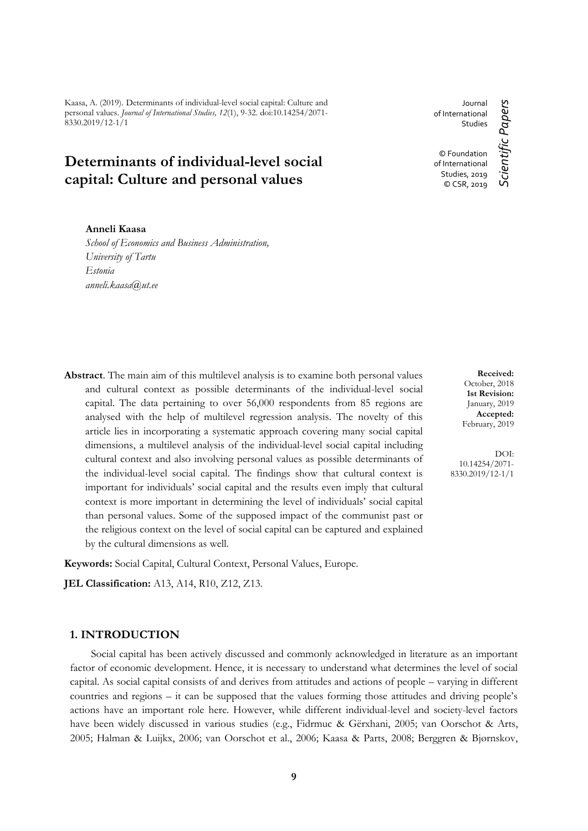Kaasa, A. (2019). Determinants of individual-level social capital: Culture and personal values. *Journal of International Studies, 12*(1), 9-32. doi:10.14254/2071- 8330.2019/12-1/1

# **Determinants of individual-level social capital: Culture and personal values**

#### **Anneli Kaasa**

*School of Economics and Business Administration, University of Tartu Estonia anneli.kaasa@ut.ee*

Journal of International Studies © Foundation of International Studies, 2019 © CSR, 2019

**Abstract**. The main aim of this multilevel analysis is to examine both personal values and cultural context as possible determinants of the individual-level social capital. The data pertaining to over 56,000 respondents from 85 regions are analysed with the help of multilevel regression analysis. The novelty of this article lies in incorporating a systematic approach covering many social capital dimensions, a multilevel analysis of the individual-level social capital including cultural context and also involving personal values as possible determinants of the individual-level social capital. The findings show that cultural context is important for individuals' social capital and the results even imply that cultural context is more important in determining the level of individuals' social capital than personal values. Some of the supposed impact of the communist past or the religious context on the level of social capital can be captured and explained by the cultural dimensions as well.

**Keywords:** Social Capital, Cultural Context, Personal Values, Europe.

**JEL Classification:** A13, A14, R10, Z12, Z13.

#### **1. INTRODUCTION**

Social capital has been actively discussed and commonly acknowledged in literature as an important factor of economic development. Hence, it is necessary to understand what determines the level of social capital. As social capital consists of and derives from attitudes and actions of people – varying in different countries and regions – it can be supposed that the values forming those attitudes and driving people's actions have an important role here. However, while different individual-level and society-level factors have been widely discussed in various studies (e.g., Fidrmuc & Gërxhani, 2005; van Oorschot & Arts, 2005; Halman & Luijkx, 2006; van Oorschot et al., 2006; Kaasa & Parts, 2008; Berggren & Bjørnskov,

**Received:** October, 2018 **1st Revision:** January, 2019 **Accepted:** February, 2019

DOI: 10.14254/2071- 8330.2019/12-1/1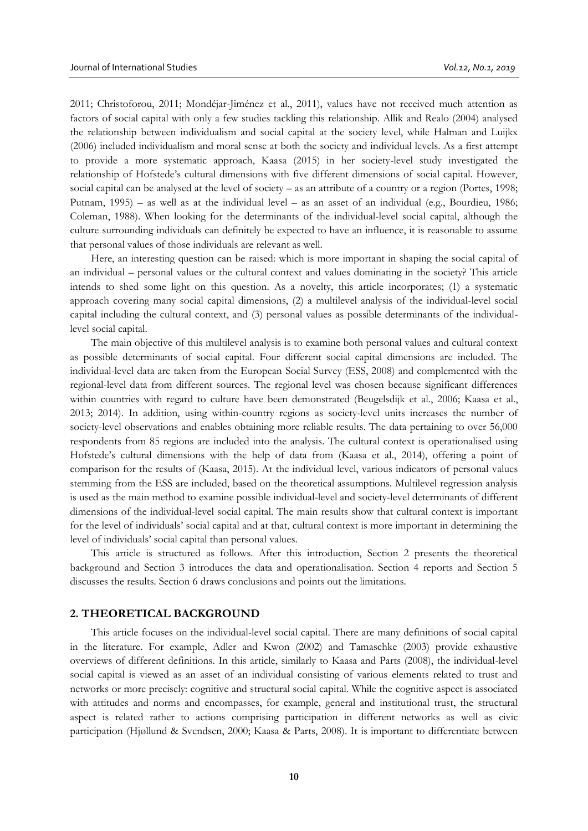2011; Christoforou, 2011; Mondéjar-Jiménez et al., 2011), values have not received much attention as factors of social capital with only a few studies tackling this relationship. Allik and Realo (2004) analysed the relationship between individualism and social capital at the society level, while Halman and Luijkx (2006) included individualism and moral sense at both the society and individual levels. As a first attempt to provide a more systematic approach, Kaasa (2015) in her society-level study investigated the relationship of Hofstede's cultural dimensions with five different dimensions of social capital. However, social capital can be analysed at the level of society – as an attribute of a country or a region (Portes, 1998; Putnam, 1995) – as well as at the individual level – as an asset of an individual (e.g., Bourdieu, 1986; Coleman, 1988). When looking for the determinants of the individual-level social capital, although the culture surrounding individuals can definitely be expected to have an influence, it is reasonable to assume that personal values of those individuals are relevant as well.

Here, an interesting question can be raised: which is more important in shaping the social capital of an individual – personal values or the cultural context and values dominating in the society? This article intends to shed some light on this question. As a novelty, this article incorporates; (1) a systematic approach covering many social capital dimensions, (2) a multilevel analysis of the individual-level social capital including the cultural context, and (3) personal values as possible determinants of the individuallevel social capital.

The main objective of this multilevel analysis is to examine both personal values and cultural context as possible determinants of social capital. Four different social capital dimensions are included. The individual-level data are taken from the European Social Survey (ESS, 2008) and complemented with the regional-level data from different sources. The regional level was chosen because significant differences within countries with regard to culture have been demonstrated (Beugelsdijk et al., 2006; Kaasa et al., 2013; 2014). In addition, using within-country regions as society-level units increases the number of society-level observations and enables obtaining more reliable results. The data pertaining to over 56,000 respondents from 85 regions are included into the analysis. The cultural context is operationalised using Hofstede's cultural dimensions with the help of data from (Kaasa et al., 2014), offering a point of comparison for the results of (Kaasa, 2015). At the individual level, various indicators of personal values stemming from the ESS are included, based on the theoretical assumptions. Multilevel regression analysis is used as the main method to examine possible individual-level and society-level determinants of different dimensions of the individual-level social capital. The main results show that cultural context is important for the level of individuals' social capital and at that, cultural context is more important in determining the level of individuals' social capital than personal values.

This article is structured as follows. After this introduction, Section 2 presents the theoretical background and Section 3 introduces the data and operationalisation. Section 4 reports and Section 5 discusses the results. Section 6 draws conclusions and points out the limitations.

#### **2. THEORETICAL BACKGROUND**

This article focuses on the individual-level social capital. There are many definitions of social capital in the literature. For example, Adler and Kwon (2002) and Tamaschke (2003) provide exhaustive overviews of different definitions. In this article, similarly to Kaasa and Parts (2008), the individual-level social capital is viewed as an asset of an individual consisting of various elements related to trust and networks or more precisely: cognitive and structural social capital. While the cognitive aspect is associated with attitudes and norms and encompasses, for example, general and institutional trust, the structural aspect is related rather to actions comprising participation in different networks as well as civic participation (Hjøllund & Svendsen, 2000; Kaasa & Parts, 2008). It is important to differentiate between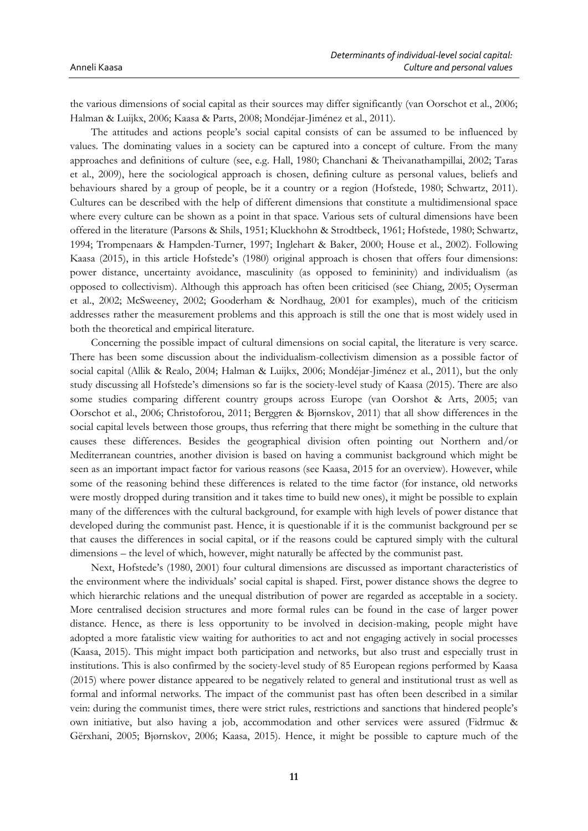the various dimensions of social capital as their sources may differ significantly (van Oorschot et al., 2006; Halman & Luijkx, 2006; Kaasa & Parts, 2008; Mondéjar-Jiménez et al., 2011).

The attitudes and actions people's social capital consists of can be assumed to be influenced by values. The dominating values in a society can be captured into a concept of culture. From the many approaches and definitions of culture (see, e.g. Hall, 1980; Chanchani & Theivanathampillai, 2002; Taras et al., 2009), here the sociological approach is chosen, defining culture as personal values, beliefs and behaviours shared by a group of people, be it a country or a region (Hofstede, 1980; Schwartz, 2011). Cultures can be described with the help of different dimensions that constitute a multidimensional space where every culture can be shown as a point in that space. Various sets of cultural dimensions have been offered in the literature (Parsons & Shils, 1951; Kluckhohn & Strodtbeck, 1961; Hofstede, 1980; Schwartz, 1994; Trompenaars & Hampden-Turner, 1997; Inglehart & Baker, 2000; House et al., 2002). Following Kaasa (2015), in this article Hofstede's (1980) original approach is chosen that offers four dimensions: power distance, uncertainty avoidance, masculinity (as opposed to femininity) and individualism (as opposed to collectivism). Although this approach has often been criticised (see Chiang, 2005; Oyserman et al., 2002; McSweeney, 2002; Gooderham & Nordhaug, 2001 for examples), much of the criticism addresses rather the measurement problems and this approach is still the one that is most widely used in both the theoretical and empirical literature.

Concerning the possible impact of cultural dimensions on social capital, the literature is very scarce. There has been some discussion about the individualism-collectivism dimension as a possible factor of social capital (Allik & Realo, 2004; Halman & Luijkx, 2006; Mondéjar-Jiménez et al., 2011), but the only study discussing all Hofstede's dimensions so far is the society-level study of Kaasa (2015). There are also some studies comparing different country groups across Europe (van Oorshot & Arts, 2005; van Oorschot et al., 2006; Christoforou, 2011; Berggren & Bjørnskov, 2011) that all show differences in the social capital levels between those groups, thus referring that there might be something in the culture that causes these differences. Besides the geographical division often pointing out Northern and/or Mediterranean countries, another division is based on having a communist background which might be seen as an important impact factor for various reasons (see Kaasa, 2015 for an overview). However, while some of the reasoning behind these differences is related to the time factor (for instance, old networks were mostly dropped during transition and it takes time to build new ones), it might be possible to explain many of the differences with the cultural background, for example with high levels of power distance that developed during the communist past. Hence, it is questionable if it is the communist background per se that causes the differences in social capital, or if the reasons could be captured simply with the cultural dimensions – the level of which, however, might naturally be affected by the communist past.

Next, Hofstede's (1980, 2001) four cultural dimensions are discussed as important characteristics of the environment where the individuals' social capital is shaped. First, power distance shows the degree to which hierarchic relations and the unequal distribution of power are regarded as acceptable in a society. More centralised decision structures and more formal rules can be found in the case of larger power distance. Hence, as there is less opportunity to be involved in decision-making, people might have adopted a more fatalistic view waiting for authorities to act and not engaging actively in social processes (Kaasa, 2015). This might impact both participation and networks, but also trust and especially trust in institutions. This is also confirmed by the society-level study of 85 European regions performed by Kaasa (2015) where power distance appeared to be negatively related to general and institutional trust as well as formal and informal networks. The impact of the communist past has often been described in a similar vein: during the communist times, there were strict rules, restrictions and sanctions that hindered people's own initiative, but also having a job, accommodation and other services were assured (Fidrmuc & Gërxhani, 2005; Bjørnskov, 2006; Kaasa, 2015). Hence, it might be possible to capture much of the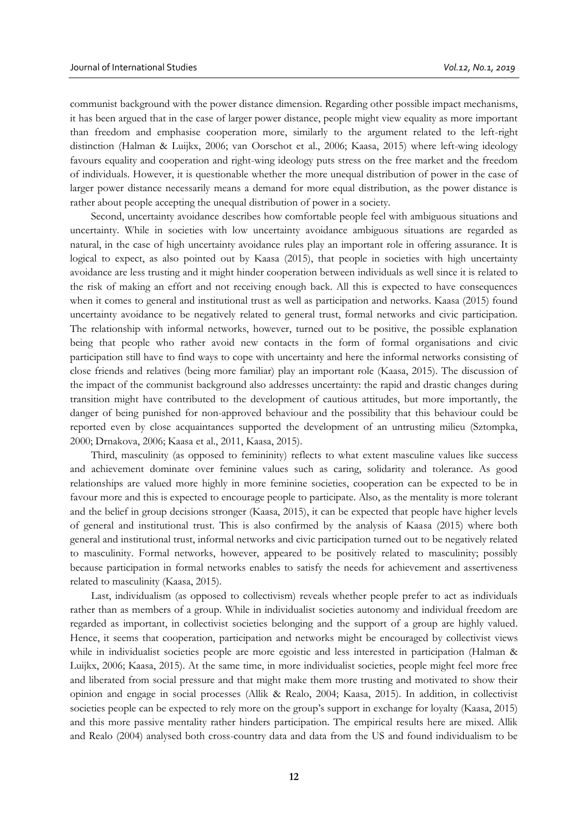communist background with the power distance dimension. Regarding other possible impact mechanisms, it has been argued that in the case of larger power distance, people might view equality as more important than freedom and emphasise cooperation more, similarly to the argument related to the left-right distinction (Halman & Luijkx, 2006; van Oorschot et al., 2006; Kaasa, 2015) where left-wing ideology favours equality and cooperation and right-wing ideology puts stress on the free market and the freedom of individuals. However, it is questionable whether the more unequal distribution of power in the case of larger power distance necessarily means a demand for more equal distribution, as the power distance is rather about people accepting the unequal distribution of power in a society.

Second, uncertainty avoidance describes how comfortable people feel with ambiguous situations and uncertainty. While in societies with low uncertainty avoidance ambiguous situations are regarded as natural, in the case of high uncertainty avoidance rules play an important role in offering assurance. It is logical to expect, as also pointed out by Kaasa (2015), that people in societies with high uncertainty avoidance are less trusting and it might hinder cooperation between individuals as well since it is related to the risk of making an effort and not receiving enough back. All this is expected to have consequences when it comes to general and institutional trust as well as participation and networks. Kaasa (2015) found uncertainty avoidance to be negatively related to general trust, formal networks and civic participation. The relationship with informal networks, however, turned out to be positive, the possible explanation being that people who rather avoid new contacts in the form of formal organisations and civic participation still have to find ways to cope with uncertainty and here the informal networks consisting of close friends and relatives (being more familiar) play an important role (Kaasa, 2015). The discussion of the impact of the communist background also addresses uncertainty: the rapid and drastic changes during transition might have contributed to the development of cautious attitudes, but more importantly, the danger of being punished for non-approved behaviour and the possibility that this behaviour could be reported even by close acquaintances supported the development of an untrusting milieu (Sztompka, 2000; Drnakova, 2006; Kaasa et al., 2011, Kaasa, 2015).

Third, masculinity (as opposed to femininity) reflects to what extent masculine values like success and achievement dominate over feminine values such as caring, solidarity and tolerance. As good relationships are valued more highly in more feminine societies, cooperation can be expected to be in favour more and this is expected to encourage people to participate. Also, as the mentality is more tolerant and the belief in group decisions stronger (Kaasa, 2015), it can be expected that people have higher levels of general and institutional trust. This is also confirmed by the analysis of Kaasa (2015) where both general and institutional trust, informal networks and civic participation turned out to be negatively related to masculinity. Formal networks, however, appeared to be positively related to masculinity; possibly because participation in formal networks enables to satisfy the needs for achievement and assertiveness related to masculinity (Kaasa, 2015).

Last, individualism (as opposed to collectivism) reveals whether people prefer to act as individuals rather than as members of a group. While in individualist societies autonomy and individual freedom are regarded as important, in collectivist societies belonging and the support of a group are highly valued. Hence, it seems that cooperation, participation and networks might be encouraged by collectivist views while in individualist societies people are more egoistic and less interested in participation (Halman & Luijkx, 2006; Kaasa, 2015). At the same time, in more individualist societies, people might feel more free and liberated from social pressure and that might make them more trusting and motivated to show their opinion and engage in social processes (Allik & Realo, 2004; Kaasa, 2015). In addition, in collectivist societies people can be expected to rely more on the group's support in exchange for loyalty (Kaasa, 2015) and this more passive mentality rather hinders participation. The empirical results here are mixed. Allik and Realo (2004) analysed both cross-country data and data from the US and found individualism to be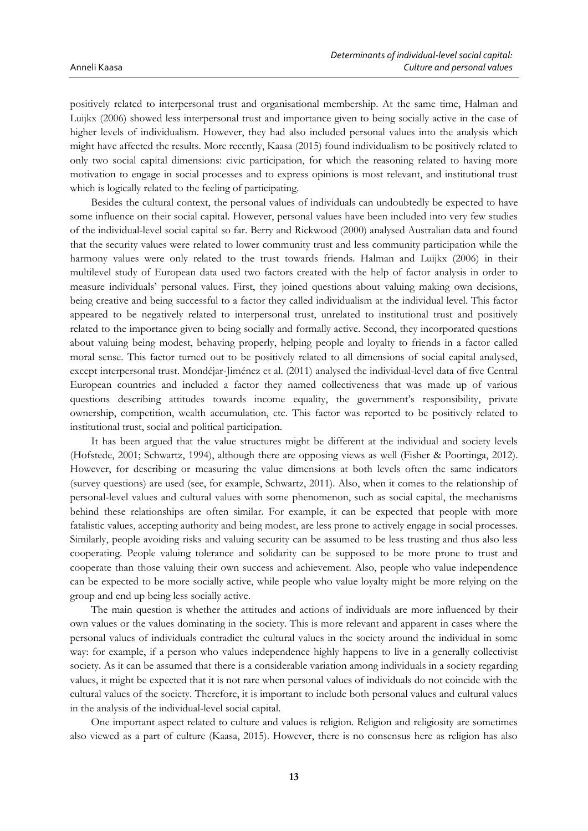positively related to interpersonal trust and organisational membership. At the same time, Halman and Luijkx (2006) showed less interpersonal trust and importance given to being socially active in the case of higher levels of individualism. However, they had also included personal values into the analysis which might have affected the results. More recently, Kaasa (2015) found individualism to be positively related to only two social capital dimensions: civic participation, for which the reasoning related to having more motivation to engage in social processes and to express opinions is most relevant, and institutional trust which is logically related to the feeling of participating.

Besides the cultural context, the personal values of individuals can undoubtedly be expected to have some influence on their social capital. However, personal values have been included into very few studies of the individual-level social capital so far. Berry and Rickwood (2000) analysed Australian data and found that the security values were related to lower community trust and less community participation while the harmony values were only related to the trust towards friends. Halman and Luijkx (2006) in their multilevel study of European data used two factors created with the help of factor analysis in order to measure individuals' personal values. First, they joined questions about valuing making own decisions, being creative and being successful to a factor they called individualism at the individual level. This factor appeared to be negatively related to interpersonal trust, unrelated to institutional trust and positively related to the importance given to being socially and formally active. Second, they incorporated questions about valuing being modest, behaving properly, helping people and loyalty to friends in a factor called moral sense. This factor turned out to be positively related to all dimensions of social capital analysed, except interpersonal trust. Mondéjar-Jiménez et al. (2011) analysed the individual-level data of five Central European countries and included a factor they named collectiveness that was made up of various questions describing attitudes towards income equality, the government's responsibility, private ownership, competition, wealth accumulation, etc. This factor was reported to be positively related to institutional trust, social and political participation.

It has been argued that the value structures might be different at the individual and society levels (Hofstede, 2001; Schwartz, 1994), although there are opposing views as well (Fisher & Poortinga, 2012). However, for describing or measuring the value dimensions at both levels often the same indicators (survey questions) are used (see, for example, Schwartz, 2011). Also, when it comes to the relationship of personal-level values and cultural values with some phenomenon, such as social capital, the mechanisms behind these relationships are often similar. For example, it can be expected that people with more fatalistic values, accepting authority and being modest, are less prone to actively engage in social processes. Similarly, people avoiding risks and valuing security can be assumed to be less trusting and thus also less cooperating. People valuing tolerance and solidarity can be supposed to be more prone to trust and cooperate than those valuing their own success and achievement. Also, people who value independence can be expected to be more socially active, while people who value loyalty might be more relying on the group and end up being less socially active.

The main question is whether the attitudes and actions of individuals are more influenced by their own values or the values dominating in the society. This is more relevant and apparent in cases where the personal values of individuals contradict the cultural values in the society around the individual in some way: for example, if a person who values independence highly happens to live in a generally collectivist society. As it can be assumed that there is a considerable variation among individuals in a society regarding values, it might be expected that it is not rare when personal values of individuals do not coincide with the cultural values of the society. Therefore, it is important to include both personal values and cultural values in the analysis of the individual-level social capital.

One important aspect related to culture and values is religion. Religion and religiosity are sometimes also viewed as a part of culture (Kaasa, 2015). However, there is no consensus here as religion has also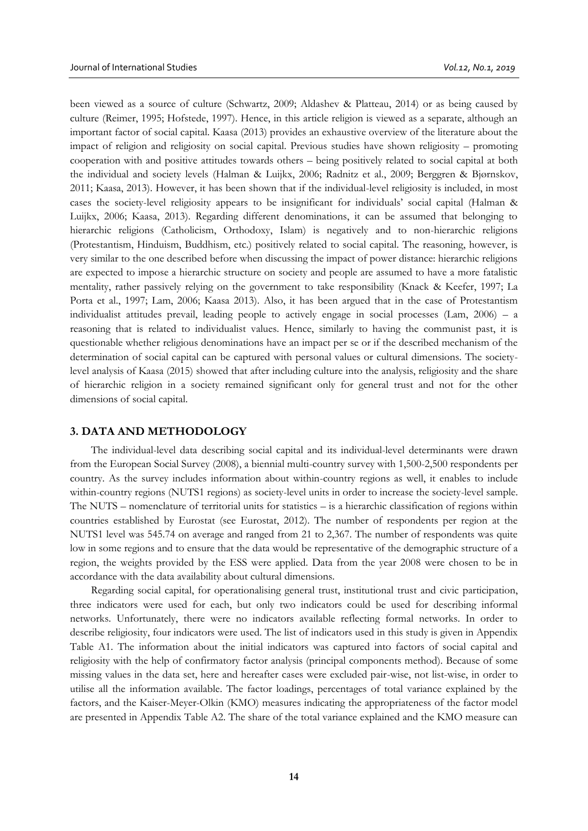been viewed as a source of culture (Schwartz, 2009; Aldashev & Platteau, 2014) or as being caused by culture (Reimer, 1995; Hofstede, 1997). Hence, in this article religion is viewed as a separate, although an important factor of social capital. Kaasa (2013) provides an exhaustive overview of the literature about the impact of religion and religiosity on social capital. Previous studies have shown religiosity – promoting cooperation with and positive attitudes towards others – being positively related to social capital at both the individual and society levels (Halman & Luijkx, 2006; Radnitz et al., 2009; Berggren & Bjørnskov, 2011; Kaasa, 2013). However, it has been shown that if the individual-level religiosity is included, in most cases the society-level religiosity appears to be insignificant for individuals' social capital (Halman & Luijkx, 2006; Kaasa, 2013). Regarding different denominations, it can be assumed that belonging to hierarchic religions (Catholicism, Orthodoxy, Islam) is negatively and to non-hierarchic religions (Protestantism, Hinduism, Buddhism, etc.) positively related to social capital. The reasoning, however, is very similar to the one described before when discussing the impact of power distance: hierarchic religions are expected to impose a hierarchic structure on society and people are assumed to have a more fatalistic mentality, rather passively relying on the government to take responsibility (Knack & Keefer, 1997; La Porta et al., 1997; Lam, 2006; Kaasa 2013). Also, it has been argued that in the case of Protestantism individualist attitudes prevail, leading people to actively engage in social processes (Lam, 2006) – a reasoning that is related to individualist values. Hence, similarly to having the communist past, it is questionable whether religious denominations have an impact per se or if the described mechanism of the determination of social capital can be captured with personal values or cultural dimensions. The societylevel analysis of Kaasa (2015) showed that after including culture into the analysis, religiosity and the share of hierarchic religion in a society remained significant only for general trust and not for the other dimensions of social capital.

#### **3. DATA AND METHODOLOGY**

The individual-level data describing social capital and its individual-level determinants were drawn from the European Social Survey (2008), a biennial multi-country survey with 1,500-2,500 respondents per country. As the survey includes information about within-country regions as well, it enables to include within-country regions (NUTS1 regions) as society-level units in order to increase the society-level sample. The NUTS – nomenclature of territorial units for statistics – is a hierarchic classification of regions within countries established by Eurostat (see Eurostat, 2012). The number of respondents per region at the NUTS1 level was 545.74 on average and ranged from 21 to 2,367. The number of respondents was quite low in some regions and to ensure that the data would be representative of the demographic structure of a region, the weights provided by the ESS were applied. Data from the year 2008 were chosen to be in accordance with the data availability about cultural dimensions.

Regarding social capital, for operationalising general trust, institutional trust and civic participation, three indicators were used for each, but only two indicators could be used for describing informal networks. Unfortunately, there were no indicators available reflecting formal networks. In order to describe religiosity, four indicators were used. The list of indicators used in this study is given in Appendix Table A1. The information about the initial indicators was captured into factors of social capital and religiosity with the help of confirmatory factor analysis (principal components method). Because of some missing values in the data set, here and hereafter cases were excluded pair-wise, not list-wise, in order to utilise all the information available. The factor loadings, percentages of total variance explained by the factors, and the Kaiser-Meyer-Olkin (KMO) measures indicating the appropriateness of the factor model are presented in Appendix Table A2. The share of the total variance explained and the KMO measure can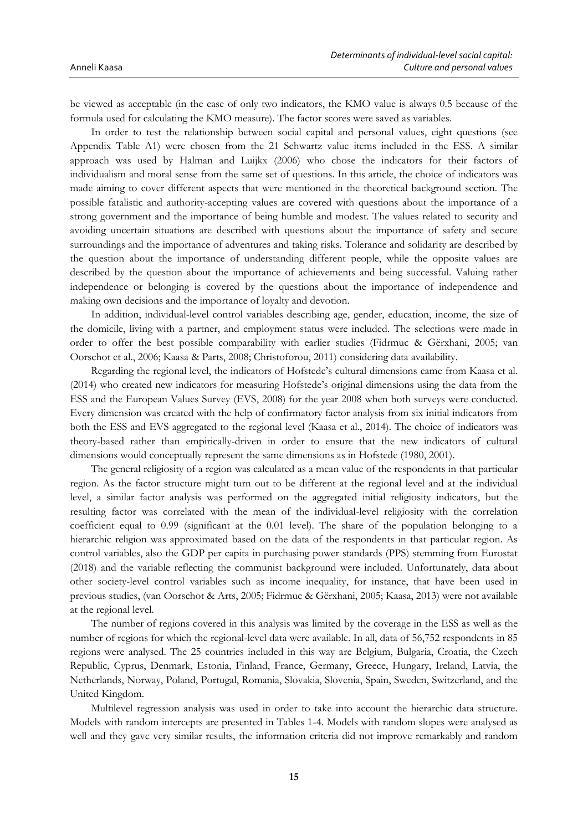be viewed as acceptable (in the case of only two indicators, the KMO value is always 0.5 because of the formula used for calculating the KMO measure). The factor scores were saved as variables.

In order to test the relationship between social capital and personal values, eight questions (see Appendix Table A1) were chosen from the 21 Schwartz value items included in the ESS. A similar approach was used by Halman and Luijkx (2006) who chose the indicators for their factors of individualism and moral sense from the same set of questions. In this article, the choice of indicators was made aiming to cover different aspects that were mentioned in the theoretical background section. The possible fatalistic and authority-accepting values are covered with questions about the importance of a strong government and the importance of being humble and modest. The values related to security and avoiding uncertain situations are described with questions about the importance of safety and secure surroundings and the importance of adventures and taking risks. Tolerance and solidarity are described by the question about the importance of understanding different people, while the opposite values are described by the question about the importance of achievements and being successful. Valuing rather independence or belonging is covered by the questions about the importance of independence and making own decisions and the importance of loyalty and devotion.

In addition, individual-level control variables describing age, gender, education, income, the size of the domicile, living with a partner, and employment status were included. The selections were made in order to offer the best possible comparability with earlier studies (Fidrmuc & Gërxhani, 2005; van Oorschot et al., 2006; Kaasa & Parts, 2008; Christoforou, 2011) considering data availability.

Regarding the regional level, the indicators of Hofstede's cultural dimensions came from Kaasa et al. (2014) who created new indicators for measuring Hofstede's original dimensions using the data from the ESS and the European Values Survey (EVS, 2008) for the year 2008 when both surveys were conducted. Every dimension was created with the help of confirmatory factor analysis from six initial indicators from both the ESS and EVS aggregated to the regional level (Kaasa et al., 2014). The choice of indicators was theory-based rather than empirically-driven in order to ensure that the new indicators of cultural dimensions would conceptually represent the same dimensions as in Hofstede (1980, 2001).

The general religiosity of a region was calculated as a mean value of the respondents in that particular region. As the factor structure might turn out to be different at the regional level and at the individual level, a similar factor analysis was performed on the aggregated initial religiosity indicators, but the resulting factor was correlated with the mean of the individual-level religiosity with the correlation coefficient equal to 0.99 (significant at the 0.01 level). The share of the population belonging to a hierarchic religion was approximated based on the data of the respondents in that particular region. As control variables, also the GDP per capita in purchasing power standards (PPS) stemming from Eurostat (2018) and the variable reflecting the communist background were included. Unfortunately, data about other society-level control variables such as income inequality, for instance, that have been used in previous studies, (van Oorschot & Arts, 2005; Fidrmuc & Gërxhani, 2005; Kaasa, 2013) were not available at the regional level.

The number of regions covered in this analysis was limited by the coverage in the ESS as well as the number of regions for which the regional-level data were available. In all, data of 56,752 respondents in 85 regions were analysed. The 25 countries included in this way are Belgium, Bulgaria, Croatia, the Czech Republic, Cyprus, Denmark, Estonia, Finland, France, Germany, Greece, Hungary, Ireland, Latvia, the Netherlands, Norway, Poland, Portugal, Romania, Slovakia, Slovenia, Spain, Sweden, Switzerland, and the United Kingdom.

Multilevel regression analysis was used in order to take into account the hierarchic data structure. Models with random intercepts are presented in Tables 1-4. Models with random slopes were analysed as well and they gave very similar results, the information criteria did not improve remarkably and random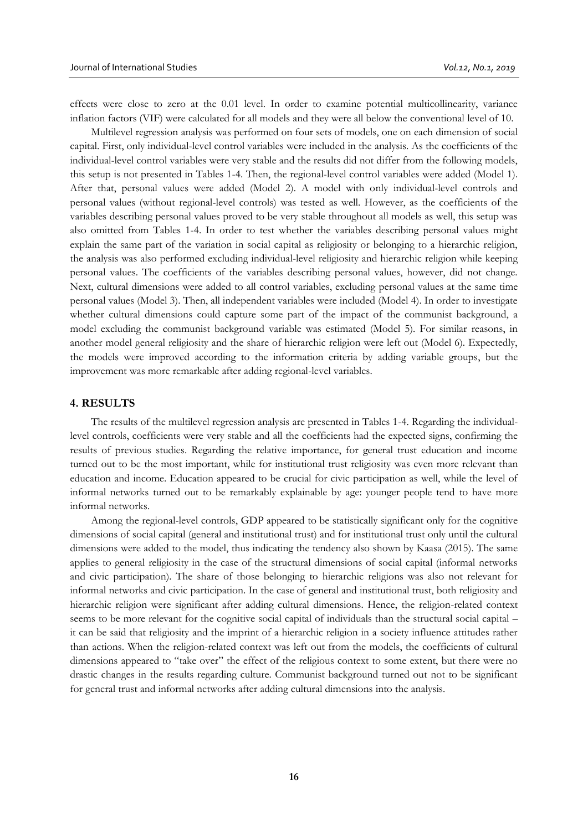effects were close to zero at the 0.01 level. In order to examine potential multicollinearity, variance inflation factors (VIF) were calculated for all models and they were all below the conventional level of 10.

Multilevel regression analysis was performed on four sets of models, one on each dimension of social capital. First, only individual-level control variables were included in the analysis. As the coefficients of the individual-level control variables were very stable and the results did not differ from the following models, this setup is not presented in Tables 1-4. Then, the regional-level control variables were added (Model 1). After that, personal values were added (Model 2). A model with only individual-level controls and personal values (without regional-level controls) was tested as well. However, as the coefficients of the variables describing personal values proved to be very stable throughout all models as well, this setup was also omitted from Tables 1-4. In order to test whether the variables describing personal values might explain the same part of the variation in social capital as religiosity or belonging to a hierarchic religion, the analysis was also performed excluding individual-level religiosity and hierarchic religion while keeping personal values. The coefficients of the variables describing personal values, however, did not change. Next, cultural dimensions were added to all control variables, excluding personal values at the same time personal values (Model 3). Then, all independent variables were included (Model 4). In order to investigate whether cultural dimensions could capture some part of the impact of the communist background, a model excluding the communist background variable was estimated (Model 5). For similar reasons, in another model general religiosity and the share of hierarchic religion were left out (Model 6). Expectedly, the models were improved according to the information criteria by adding variable groups, but the improvement was more remarkable after adding regional-level variables.

#### **4. RESULTS**

The results of the multilevel regression analysis are presented in Tables 1-4. Regarding the individuallevel controls, coefficients were very stable and all the coefficients had the expected signs, confirming the results of previous studies. Regarding the relative importance, for general trust education and income turned out to be the most important, while for institutional trust religiosity was even more relevant than education and income. Education appeared to be crucial for civic participation as well, while the level of informal networks turned out to be remarkably explainable by age: younger people tend to have more informal networks.

Among the regional-level controls, GDP appeared to be statistically significant only for the cognitive dimensions of social capital (general and institutional trust) and for institutional trust only until the cultural dimensions were added to the model, thus indicating the tendency also shown by Kaasa (2015). The same applies to general religiosity in the case of the structural dimensions of social capital (informal networks and civic participation). The share of those belonging to hierarchic religions was also not relevant for informal networks and civic participation. In the case of general and institutional trust, both religiosity and hierarchic religion were significant after adding cultural dimensions. Hence, the religion-related context seems to be more relevant for the cognitive social capital of individuals than the structural social capital – it can be said that religiosity and the imprint of a hierarchic religion in a society influence attitudes rather than actions. When the religion-related context was left out from the models, the coefficients of cultural dimensions appeared to "take over" the effect of the religious context to some extent, but there were no drastic changes in the results regarding culture. Communist background turned out not to be significant for general trust and informal networks after adding cultural dimensions into the analysis.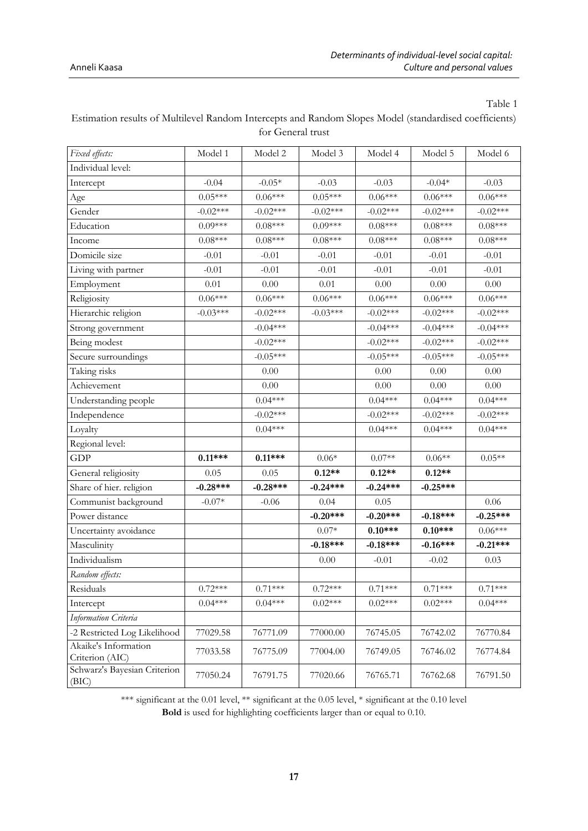| Fixed effects:                        | Model 1    | Model 2    | Model 3    | Model 4    | Model 5    | Model 6    |
|---------------------------------------|------------|------------|------------|------------|------------|------------|
| Individual level:                     |            |            |            |            |            |            |
| Intercept                             | $-0.04$    | $-0.05*$   | $-0.03$    | $-0.03$    | $-0.04*$   | $-0.03$    |
| Age                                   | $0.05***$  | $0.06***$  | $0.05***$  | $0.06***$  | $0.06***$  | $0.06***$  |
| Gender                                | $-0.02***$ | $-0.02***$ | $-0.02***$ | $-0.02***$ | $-0.02***$ | $-0.02***$ |
| Education                             | $0.09***$  | $0.08***$  | $0.09***$  | $0.08***$  | $0.08***$  | $0.08***$  |
| Income                                | $0.08***$  | $0.08***$  | $0.08***$  | $0.08***$  | $0.08***$  | $0.08***$  |
| Domicile size                         | $-0.01$    | $-0.01$    | $-0.01$    | $-0.01$    | $-0.01$    | $-0.01$    |
| Living with partner                   | $-0.01$    | $-0.01$    | $-0.01$    | $-0.01$    | $-0.01$    | $-0.01$    |
| Employment                            | 0.01       | 0.00       | $0.01\,$   | $0.00\,$   | 0.00       | $0.00\,$   |
| Religiosity                           | $0.06***$  | $0.06***$  | $0.06***$  | $0.06***$  | $0.06***$  | $0.06***$  |
| Hierarchic religion                   | $-0.03***$ | $-0.02***$ | $-0.03***$ | $-0.02***$ | $-0.02***$ | $-0.02***$ |
| Strong government                     |            | $-0.04***$ |            | $-0.04***$ | $-0.04***$ | $-0.04***$ |
| Being modest                          |            | $-0.02***$ |            | $-0.02***$ | $-0.02***$ | $-0.02***$ |
| Secure surroundings                   |            | $-0.05***$ |            | $-0.05***$ | $-0.05***$ | $-0.05***$ |
| Taking risks                          |            | 0.00       |            | 0.00       | 0.00       | 0.00       |
| Achievement                           |            | 0.00       |            | $0.00\,$   | $0.00\,$   | $0.00\,$   |
| Understanding people                  |            | $0.04***$  |            | $0.04***$  | $0.04***$  | $0.04***$  |
| Independence                          |            | $-0.02***$ |            | $-0.02***$ | $-0.02***$ | $-0.02***$ |
| Loyalty                               |            | $0.04***$  |            | $0.04***$  | $0.04***$  | $0.04***$  |
| Regional level:                       |            |            |            |            |            |            |
| <b>GDP</b>                            | $0.11***$  | $0.11***$  | $0.06*$    | $0.07**$   | $0.06**$   | $0.05**$   |
| General religiosity                   | 0.05       | 0.05       | $0.12**$   | $0.12**$   | $0.12**$   |            |
| Share of hier. religion               | $-0.28***$ | $-0.28***$ | $-0.24***$ | $-0.24***$ | $-0.25***$ |            |
| Communist background                  | $-0.07*$   | $-0.06$    | 0.04       | 0.05       |            | 0.06       |
| Power distance                        |            |            | $-0.20***$ | $-0.20***$ | $-0.18***$ | $-0.25***$ |
| Uncertainty avoidance                 |            |            | $0.07*$    | $0.10***$  | $0.10***$  | $0.06***$  |
| Masculinity                           |            |            | $-0.18***$ | $-0.18***$ | $-0.16***$ | $-0.21***$ |
| Individualism                         |            |            | 0.00       | $-0.01$    | $-0.02$    | 0.03       |
| Random effects:                       |            |            |            |            |            |            |
| Residuals                             | $0.72***$  | $0.71***$  | $0.72***$  | $0.71***$  | $0.71***$  | $0.71***$  |
| Intercept                             | $0.04***$  | $0.04***$  | $0.02***$  | $0.02***$  | $0.02***$  | $0.04***$  |
| Information Criteria                  |            |            |            |            |            |            |
| -2 Restricted Log Likelihood          | 77029.58   | 76771.09   | 77000.00   | 76745.05   | 76742.02   | 76770.84   |
| Akaike's Information                  | 77033.58   | 76775.09   | 77004.00   | 76749.05   | 76746.02   | 76774.84   |
| Criterion (AIC)                       |            |            |            |            |            |            |
| Schwarz's Bayesian Criterion<br>(BIC) | 77050.24   | 76791.75   | 77020.66   | 76765.71   | 76762.68   | 76791.50   |

Estimation results of Multilevel Random Intercepts and Random Slopes Model (standardised coefficients) for General trust

\*\*\* significant at the 0.01 level, \*\* significant at the 0.05 level, \* significant at the 0.10 level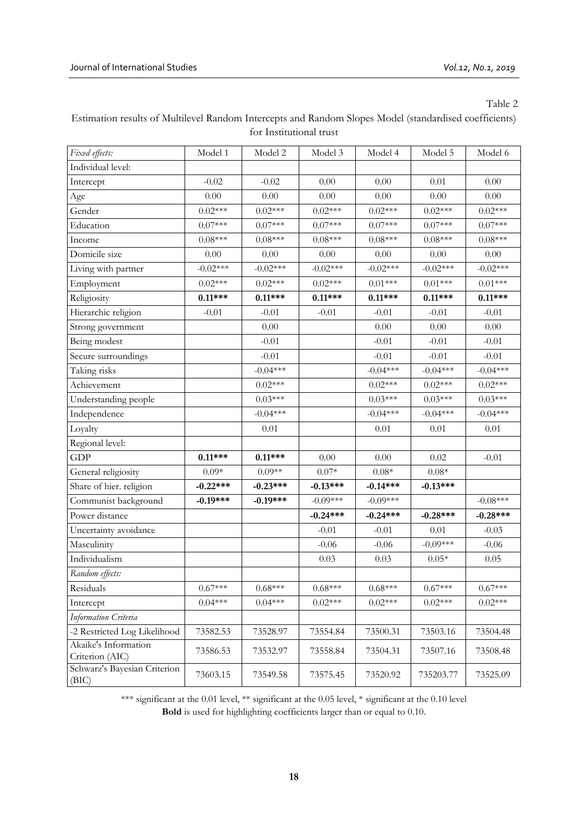| Estimation results of Multilevel Random Intercepts and Random Slopes Model (standardised coefficients) |
|--------------------------------------------------------------------------------------------------------|
| for Institutional trust                                                                                |

| Fixed effects:                          | Model 1    | Model 2    | Model 3          | Model 4          | Model 5          | Model 6    |
|-----------------------------------------|------------|------------|------------------|------------------|------------------|------------|
| Individual level:                       |            |            |                  |                  |                  |            |
| Intercept                               | $-0.02$    | $-0.02$    | 0.00             | 0.00             | 0.01             | $0.00\,$   |
| Age                                     | 0.00       | 0.00       | 0.00             | 0.00             | 0.00             | 0.00       |
| Gender                                  | $0.02***$  | $0.02***$  | $0.02***$        | $0.02***$        | $0.02***$        | $0.02***$  |
| Education                               | $0.07***$  | $0.07***$  | $0.07***$        | $0.07***$        | $0.07***$        | $0.07***$  |
| Income                                  | $0.08***$  | $0.08***$  | $0.08***$        | $0.08***$        | $0.08***$        | $0.08***$  |
| Domicile size                           | $0.00\,$   | $0.00\,$   | $0.00\,$         | $0.00\,$         | $0.00\,$         | $0.00\,$   |
| Living with partner                     | $-0.02***$ | $-0.02***$ | $-0.02***$       | $-0.02***$       | $-0.02***$       | $-0.02***$ |
| Employment                              | $0.02***$  | $0.02***$  | $0.02***$        | $0.01***$        | $0.01***$        | $0.01***$  |
| Religiosity                             | $0.11***$  | $0.11***$  | $0.11***$        | $0.11***$        | $0.11***$        | $0.11***$  |
| Hierarchic religion                     | $-0.01$    | $-0.01$    | $-0.01$          | $-0.01$          | $-0.01$          | $-0.01$    |
| Strong government                       |            | 0.00       |                  | 0.00             | 0.00             | $0.00\,$   |
| Being modest                            |            | $-0.01$    |                  | $-0.01$          | $-0.01$          | $-0.01$    |
| Secure surroundings                     |            | $-0.01$    |                  | $-0.01$          | $-0.01$          | $-0.01$    |
| Taking risks                            |            | $-0.04***$ |                  | $-0.04***$       | $-0.04***$       | $-0.04***$ |
| Achievement                             |            | $0.02***$  |                  | $0.02***$        | $0.02***$        | $0.02***$  |
| Understanding people                    |            | $0.03***$  |                  | $0.03***$        | $0.03***$        | $0.03***$  |
| Independence                            |            | $-0.04***$ |                  | $-0.04***$       | $-0.04***$       | $-0.04***$ |
| Loyalty                                 |            | 0.01       |                  | 0.01             | $0.01\,$         | $0.01\,$   |
| Regional level:                         |            |            |                  |                  |                  |            |
| <b>GDP</b>                              | $0.11***$  | $0.11***$  | $0.00\,$         | $0.00\,$         | 0.02             | $-0.01$    |
| General religiosity                     | $0.09*$    | $0.09**$   | $0.07\mathrm{*}$ | $0.08\mathrm{*}$ | $0.08\mathrm{*}$ |            |
| Share of hier. religion                 | $-0.22***$ | $-0.23***$ | $-0.13***$       | $-0.14***$       | $-0.13***$       |            |
| Communist background                    | $-0.19***$ | $-0.19***$ | $-0.09***$       | $-0.09***$       |                  | $-0.08***$ |
| Power distance                          |            |            | $-0.24***$       | $-0.24***$       | $-0.28***$       | $-0.28***$ |
| Uncertainty avoidance                   |            |            | $-0.01$          | $-0.01$          | 0.01             | $-0.03$    |
| Masculinity                             |            |            | $-0.06$          | $-0.06$          | $-0.09***$       | $-0.06$    |
| Individualism                           |            |            | 0.03             | 0.03             | $0.05*$          | 0.05       |
| Random effects:                         |            |            |                  |                  |                  |            |
| Residuals                               | $0.67***$  | $0.68***$  | $0.68***$        | $0.68***$        | $0.67***$        | $0.67***$  |
| Intercept                               | $0.04***$  | $0.04***$  | $0.02***$        | $0.02***$        | $0.02***$        | $0.02***$  |
| Information Criteria                    |            |            |                  |                  |                  |            |
| -2 Restricted Log Likelihood            | 73582.53   | 73528.97   | 73554.84         | 73500.31         | 73503.16         | 73504.48   |
| Akaike's Information<br>Criterion (AIC) | 73586.53   | 73532.97   | 73558.84         | 73504.31         | 73507.16         | 73508.48   |
| Schwarz's Bayesian Criterion<br>(BIC)   | 73603.15   | 73549.58   | 73575.45         | 73520.92         | 735203.77        | 73525.09   |

\*\*\* significant at the 0.01 level, \*\* significant at the 0.05 level, \* significant at the 0.10 level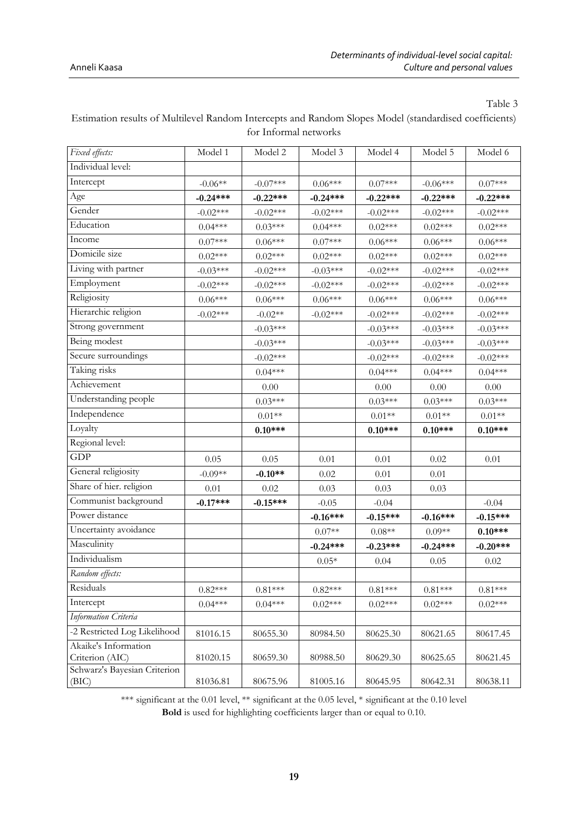| Fixed effects:               | Model 1    | Model 2    | Model 3    | Model 4    | Model 5    | Model 6    |
|------------------------------|------------|------------|------------|------------|------------|------------|
| Individual level:            |            |            |            |            |            |            |
| Intercept                    | $-0.06**$  | $-0.07***$ | $0.06***$  | $0.07***$  | $-0.06***$ | $0.07***$  |
| Age                          | $-0.24***$ | $-0.22***$ | $-0.24***$ | $-0.22***$ | $-0.22***$ | $-0.22***$ |
| Gender                       | $-0.02***$ | $-0.02***$ | $-0.02***$ | $-0.02***$ | $-0.02***$ | $-0.02***$ |
| Education                    | $0.04***$  | $0.03***$  | $0.04***$  | $0.02***$  | $0.02***$  | $0.02***$  |
| Income                       | $0.07***$  | $0.06***$  | $0.07***$  | $0.06***$  | $0.06***$  | $0.06***$  |
| Domicile size                | $0.02***$  | $0.02***$  | $0.02***$  | $0.02***$  | $0.02***$  | $0.02***$  |
| Living with partner          | $-0.03***$ | $-0.02***$ | $-0.03***$ | $-0.02***$ | $-0.02***$ | $-0.02***$ |
| Employment                   | $-0.02***$ | $-0.02***$ | $-0.02***$ | $-0.02***$ | $-0.02***$ | $-0.02***$ |
| Religiosity                  | $0.06***$  | $0.06***$  | $0.06***$  | $0.06***$  | $0.06***$  | $0.06***$  |
| Hierarchic religion          | $-0.02***$ | $-0.02**$  | $-0.02***$ | $-0.02***$ | $-0.02***$ | $-0.02***$ |
| Strong government            |            | $-0.03***$ |            | $-0.03***$ | $-0.03***$ | $-0.03***$ |
| Being modest                 |            | $-0.03***$ |            | $-0.03***$ | $-0.03***$ | $-0.03***$ |
| Secure surroundings          |            | $-0.02***$ |            | $-0.02***$ | $-0.02***$ | $-0.02***$ |
| Taking risks                 |            | $0.04***$  |            | $0.04***$  | $0.04***$  | $0.04***$  |
| Achievement                  |            | 0.00       |            | 0.00       | 0.00       | 0.00       |
| Understanding people         |            | $0.03***$  |            | $0.03***$  | $0.03***$  | $0.03***$  |
| Independence                 |            | $0.01**$   |            | $0.01**$   | $0.01**$   | $0.01**$   |
| Loyalty                      |            | $0.10***$  |            | $0.10***$  | $0.10***$  | $0.10***$  |
| Regional level:              |            |            |            |            |            |            |
| <b>GDP</b>                   | 0.05       | 0.05       | 0.01       | 0.01       | 0.02       | 0.01       |
| General religiosity          | $-0.09**$  | $-0.10**$  | 0.02       | 0.01       | 0.01       |            |
| Share of hier. religion      | 0.01       | 0.02       | 0.03       | 0.03       | 0.03       |            |
| Communist background         | $-0.17***$ | $-0.15***$ | $-0.05$    | $-0.04$    |            | $-0.04$    |
| Power distance               |            |            | $-0.16***$ | $-0.15***$ | $-0.16***$ | $-0.15***$ |
| Uncertainty avoidance        |            |            | $0.07**$   | $0.08**$   | $0.09**$   | $0.10***$  |
| Masculinity                  |            |            | $-0.24***$ | $-0.23***$ | $-0.24***$ | $-0.20***$ |
| Individualism                |            |            | $0.05*$    | 0.04       | 0.05       | 0.02       |
| Random effects:              |            |            |            |            |            |            |
| Residuals                    | $0.82***$  | $0.81***$  | $0.82***$  | $0.81***$  | $0.81***$  | $0.81***$  |
| Intercept                    | $0.04***$  | $0.04***$  | $0.02***$  | $0.02***$  | $0.02***$  | $0.02***$  |
| Information Criteria         |            |            |            |            |            |            |
| -2 Restricted Log Likelihood | 81016.15   | 80655.30   | 80984.50   | 80625.30   | 80621.65   | 80617.45   |
| Akaike's Information         |            |            |            |            |            |            |
| Criterion (AIC)              |            |            |            |            |            |            |
| Schwarz's Bayesian Criterion | 81020.15   | 80659.30   | 80988.50   | 80629.30   | 80625.65   | 80621.45   |

Estimation results of Multilevel Random Intercepts and Random Slopes Model (standardised coefficients) for Informal networks

\*\*\* significant at the 0.01 level, \*\* significant at the 0.05 level, \* significant at the 0.10 level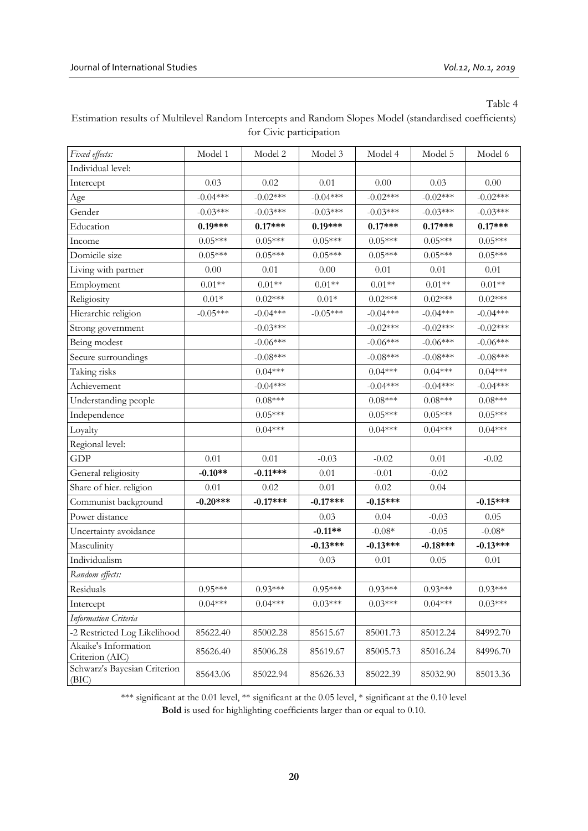| Estimation results of Multilevel Random Intercepts and Random Slopes Model (standardised coefficients) |
|--------------------------------------------------------------------------------------------------------|
| for Civic participation                                                                                |

| Fixed effects:                          | Model 1    | Model 2    | Model 3          | Model 4    | Model 5    | Model 6                 |
|-----------------------------------------|------------|------------|------------------|------------|------------|-------------------------|
| Individual level:                       |            |            |                  |            |            |                         |
| Intercept                               | 0.03       | 0.02       | $0.01\,$         | $0.00\,$   | 0.03       | $0.00\,$                |
| Age                                     | $-0.04***$ | $-0.02***$ | $-0.04***$       | $-0.02***$ | $-0.02***$ | $-0.02***$              |
| Gender                                  | $-0.03***$ | $-0.03***$ | $-0.03***$       | $-0.03***$ | $-0.03***$ | $-0.03***$              |
| Education                               | $0.19***$  | $0.17***$  | $0.19***$        | $0.17***$  | $0.17***$  | $0.17***$               |
| Income                                  | $0.05***$  | $0.05***$  | $0.05***$        | $0.05***$  | $0.05***$  | $0.05***$               |
| Domicile size                           | $0.05***$  | $0.05***$  | $0.05***$        | $0.05***$  | $0.05***$  | $0.05***$               |
| Living with partner                     | $0.00\,$   | 0.01       | 0.00             | 0.01       | 0.01       | 0.01                    |
| Employment                              | $0.01**$   | $0.01**$   | $0.01**$         | $0.01**$   | $0.01**$   | $0.01**$                |
| Religiosity                             | $0.01*$    | $0.02***$  | $0.01\mathrm{*}$ | $0.02***$  | $0.02***$  | $0.02***$               |
| Hierarchic religion                     | $-0.05***$ | $-0.04***$ | $-0.05***$       | $-0.04***$ | $-0.04***$ | $-0.04***$              |
| Strong government                       |            | $-0.03***$ |                  | $-0.02***$ | $-0.02***$ | $-0.02***$              |
| Being modest                            |            | $-0.06***$ |                  | $-0.06***$ | $-0.06***$ | $-0.06***$              |
| Secure surroundings                     |            | $-0.08***$ |                  | $-0.08***$ | $-0.08***$ | $-0.08***$              |
| Taking risks                            |            | $0.04***$  |                  | $0.04***$  | $0.04***$  | $0.04***$               |
| Achievement                             |            | $-0.04***$ |                  | $-0.04***$ | $-0.04***$ | $-0.04***$              |
| Understanding people                    |            | $0.08***$  |                  | $0.08***$  | $0.08***$  | $0.08{^{\ast\ast\ast}}$ |
| Independence                            |            | $0.05***$  |                  | $0.05***$  | $0.05***$  | $0.05***$               |
| Loyalty                                 |            | $0.04***$  |                  | $0.04***$  | $0.04***$  | $0.04***$               |
| Regional level:                         |            |            |                  |            |            |                         |
| <b>GDP</b>                              | $0.01\,$   | 0.01       | $-0.03$          | $-0.02$    | $0.01\,$   | $-0.02$                 |
| General religiosity                     | $-0.10**$  | $-0.11***$ | $0.01\,$         | $-0.01$    | $-0.02$    |                         |
| Share of hier. religion                 | $0.01\,$   | 0.02       | $0.01\,$         | $0.02\,$   | 0.04       |                         |
| Communist background                    | $-0.20***$ | $-0.17***$ | $-0.17***$       | $-0.15***$ |            | $-0.15***$              |
| Power distance                          |            |            | 0.03             | 0.04       | $-0.03$    | 0.05                    |
| Uncertainty avoidance                   |            |            | $-0.11**$        | $-0.08*$   | $-0.05$    | $-0.08*$                |
| Masculinity                             |            |            | $-0.13***$       | $-0.13***$ | $-0.18***$ | $-0.13***$              |
| Individualism                           |            |            | 0.03             | 0.01       | 0.05       | 0.01                    |
| Random effects:                         |            |            |                  |            |            |                         |
| Residuals                               | $0.95***$  | $0.93***$  | $0.95***$        | $0.93***$  | $0.93***$  | $0.93***$               |
| Intercept                               | $0.04***$  | $0.04***$  | $0.03***$        | $0.03***$  | $0.04***$  | $0.03***$               |
| Information Criteria                    |            |            |                  |            |            |                         |
| -2 Restricted Log Likelihood            | 85622.40   | 85002.28   | 85615.67         | 85001.73   | 85012.24   | 84992.70                |
| Akaike's Information<br>Criterion (AIC) | 85626.40   | 85006.28   | 85619.67         | 85005.73   | 85016.24   | 84996.70                |
| Schwarz's Bayesian Criterion<br>(BIC)   | 85643.06   | 85022.94   | 85626.33         | 85022.39   | 85032.90   | 85013.36                |

\*\*\* significant at the 0.01 level, \*\* significant at the 0.05 level, \* significant at the 0.10 level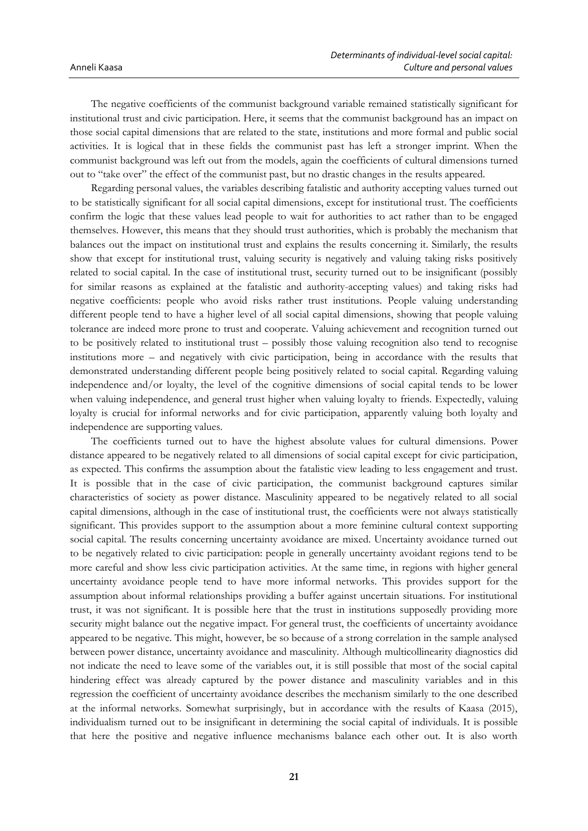The negative coefficients of the communist background variable remained statistically significant for institutional trust and civic participation. Here, it seems that the communist background has an impact on those social capital dimensions that are related to the state, institutions and more formal and public social activities. It is logical that in these fields the communist past has left a stronger imprint. When the communist background was left out from the models, again the coefficients of cultural dimensions turned out to "take over" the effect of the communist past, but no drastic changes in the results appeared.

Regarding personal values, the variables describing fatalistic and authority accepting values turned out to be statistically significant for all social capital dimensions, except for institutional trust. The coefficients confirm the logic that these values lead people to wait for authorities to act rather than to be engaged themselves. However, this means that they should trust authorities, which is probably the mechanism that balances out the impact on institutional trust and explains the results concerning it. Similarly, the results show that except for institutional trust, valuing security is negatively and valuing taking risks positively related to social capital. In the case of institutional trust, security turned out to be insignificant (possibly for similar reasons as explained at the fatalistic and authority-accepting values) and taking risks had negative coefficients: people who avoid risks rather trust institutions. People valuing understanding different people tend to have a higher level of all social capital dimensions, showing that people valuing tolerance are indeed more prone to trust and cooperate. Valuing achievement and recognition turned out to be positively related to institutional trust – possibly those valuing recognition also tend to recognise institutions more – and negatively with civic participation, being in accordance with the results that demonstrated understanding different people being positively related to social capital. Regarding valuing independence and/or loyalty, the level of the cognitive dimensions of social capital tends to be lower when valuing independence, and general trust higher when valuing loyalty to friends. Expectedly, valuing loyalty is crucial for informal networks and for civic participation, apparently valuing both loyalty and independence are supporting values.

The coefficients turned out to have the highest absolute values for cultural dimensions. Power distance appeared to be negatively related to all dimensions of social capital except for civic participation, as expected. This confirms the assumption about the fatalistic view leading to less engagement and trust. It is possible that in the case of civic participation, the communist background captures similar characteristics of society as power distance. Masculinity appeared to be negatively related to all social capital dimensions, although in the case of institutional trust, the coefficients were not always statistically significant. This provides support to the assumption about a more feminine cultural context supporting social capital. The results concerning uncertainty avoidance are mixed. Uncertainty avoidance turned out to be negatively related to civic participation: people in generally uncertainty avoidant regions tend to be more careful and show less civic participation activities. At the same time, in regions with higher general uncertainty avoidance people tend to have more informal networks. This provides support for the assumption about informal relationships providing a buffer against uncertain situations. For institutional trust, it was not significant. It is possible here that the trust in institutions supposedly providing more security might balance out the negative impact. For general trust, the coefficients of uncertainty avoidance appeared to be negative. This might, however, be so because of a strong correlation in the sample analysed between power distance, uncertainty avoidance and masculinity. Although multicollinearity diagnostics did not indicate the need to leave some of the variables out, it is still possible that most of the social capital hindering effect was already captured by the power distance and masculinity variables and in this regression the coefficient of uncertainty avoidance describes the mechanism similarly to the one described at the informal networks. Somewhat surprisingly, but in accordance with the results of Kaasa (2015), individualism turned out to be insignificant in determining the social capital of individuals. It is possible that here the positive and negative influence mechanisms balance each other out. It is also worth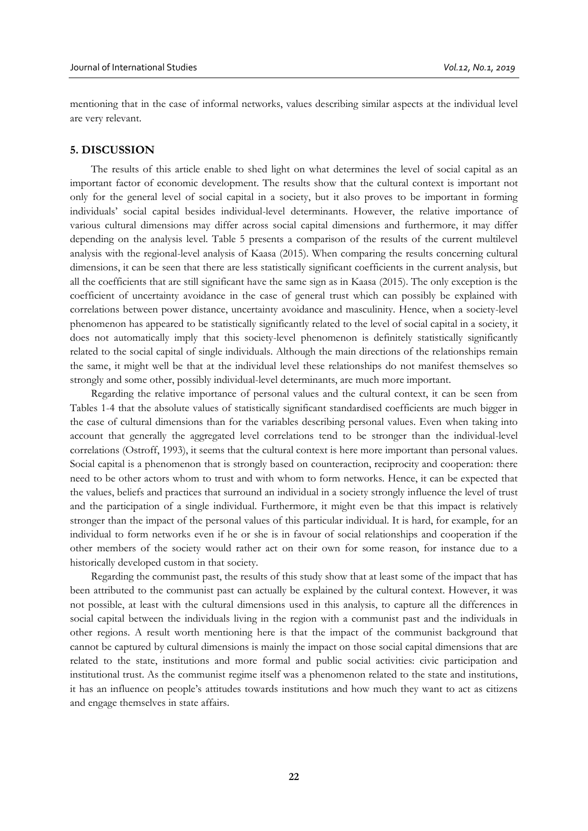mentioning that in the case of informal networks, values describing similar aspects at the individual level are very relevant.

### **5. DISCUSSION**

The results of this article enable to shed light on what determines the level of social capital as an important factor of economic development. The results show that the cultural context is important not only for the general level of social capital in a society, but it also proves to be important in forming individuals' social capital besides individual-level determinants. However, the relative importance of various cultural dimensions may differ across social capital dimensions and furthermore, it may differ depending on the analysis level. Table 5 presents a comparison of the results of the current multilevel analysis with the regional-level analysis of Kaasa (2015). When comparing the results concerning cultural dimensions, it can be seen that there are less statistically significant coefficients in the current analysis, but all the coefficients that are still significant have the same sign as in Kaasa (2015). The only exception is the coefficient of uncertainty avoidance in the case of general trust which can possibly be explained with correlations between power distance, uncertainty avoidance and masculinity. Hence, when a society-level phenomenon has appeared to be statistically significantly related to the level of social capital in a society, it does not automatically imply that this society-level phenomenon is definitely statistically significantly related to the social capital of single individuals. Although the main directions of the relationships remain the same, it might well be that at the individual level these relationships do not manifest themselves so strongly and some other, possibly individual-level determinants, are much more important.

Regarding the relative importance of personal values and the cultural context, it can be seen from Tables 1-4 that the absolute values of statistically significant standardised coefficients are much bigger in the case of cultural dimensions than for the variables describing personal values. Even when taking into account that generally the aggregated level correlations tend to be stronger than the individual-level correlations (Ostroff, 1993), it seems that the cultural context is here more important than personal values. Social capital is a phenomenon that is strongly based on counteraction, reciprocity and cooperation: there need to be other actors whom to trust and with whom to form networks. Hence, it can be expected that the values, beliefs and practices that surround an individual in a society strongly influence the level of trust and the participation of a single individual. Furthermore, it might even be that this impact is relatively stronger than the impact of the personal values of this particular individual. It is hard, for example, for an individual to form networks even if he or she is in favour of social relationships and cooperation if the other members of the society would rather act on their own for some reason, for instance due to a historically developed custom in that society.

Regarding the communist past, the results of this study show that at least some of the impact that has been attributed to the communist past can actually be explained by the cultural context. However, it was not possible, at least with the cultural dimensions used in this analysis, to capture all the differences in social capital between the individuals living in the region with a communist past and the individuals in other regions. A result worth mentioning here is that the impact of the communist background that cannot be captured by cultural dimensions is mainly the impact on those social capital dimensions that are related to the state, institutions and more formal and public social activities: civic participation and institutional trust. As the communist regime itself was a phenomenon related to the state and institutions, it has an influence on people's attitudes towards institutions and how much they want to act as citizens and engage themselves in state affairs.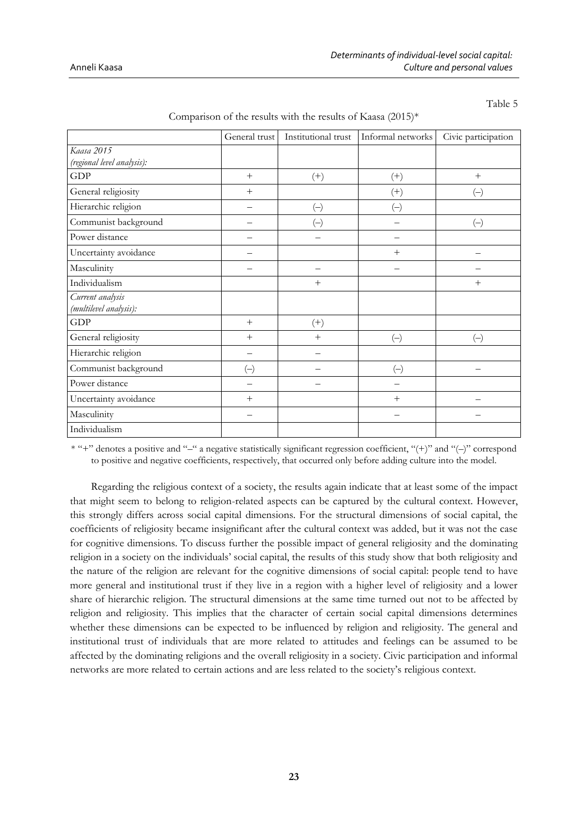|                            | General trust | Institutional trust      | Informal networks | Civic participation |
|----------------------------|---------------|--------------------------|-------------------|---------------------|
| Kaasa 2015                 |               |                          |                   |                     |
| (regional level analysis): |               |                          |                   |                     |
| GDP                        | $+$           | $^{(+)}$                 | $^{(+)}$          | $+$                 |
| General religiosity        | $+$           |                          | $^{(+)}$          | $(\hbox{--})$       |
| Hierarchic religion        |               | $\left(\!\!-\!\!\right)$ | $(\overline{-})$  |                     |
| Communist background       |               | $(\!-\!)$                |                   | $(\hbox{--})$       |
| Power distance             |               |                          |                   |                     |
| Uncertainty avoidance      |               |                          | $^{+}$            |                     |
| Masculinity                |               |                          |                   |                     |
| Individualism              |               | $+$                      |                   | $^{+}$              |
| Current analysis           |               |                          |                   |                     |
| (multilevel analysis):     |               |                          |                   |                     |
| <b>GDP</b>                 | $+$           | $^{(+)}$                 |                   |                     |
| General religiosity        | $+$           | $+$                      | $(-)$             | $(-)$               |
| Hierarchic religion        |               |                          |                   |                     |
| Communist background       | $(-)$         |                          | $(-)$             |                     |
| Power distance             |               |                          |                   |                     |
| Uncertainty avoidance      | $+$           |                          | $^{+}$            |                     |
| Masculinity                |               |                          |                   |                     |
| Individualism              |               |                          |                   |                     |

Comparison of the results with the results of Kaasa  $(2015)^*$ 

Table 5

\* "+" denotes a positive and "–" a negative statistically significant regression coefficient, "(+)" and "(–)" correspond to positive and negative coefficients, respectively, that occurred only before adding culture into the model.

Regarding the religious context of a society, the results again indicate that at least some of the impact that might seem to belong to religion-related aspects can be captured by the cultural context. However, this strongly differs across social capital dimensions. For the structural dimensions of social capital, the coefficients of religiosity became insignificant after the cultural context was added, but it was not the case for cognitive dimensions. To discuss further the possible impact of general religiosity and the dominating religion in a society on the individuals' social capital, the results of this study show that both religiosity and the nature of the religion are relevant for the cognitive dimensions of social capital: people tend to have more general and institutional trust if they live in a region with a higher level of religiosity and a lower share of hierarchic religion. The structural dimensions at the same time turned out not to be affected by religion and religiosity. This implies that the character of certain social capital dimensions determines whether these dimensions can be expected to be influenced by religion and religiosity. The general and institutional trust of individuals that are more related to attitudes and feelings can be assumed to be affected by the dominating religions and the overall religiosity in a society. Civic participation and informal networks are more related to certain actions and are less related to the society's religious context.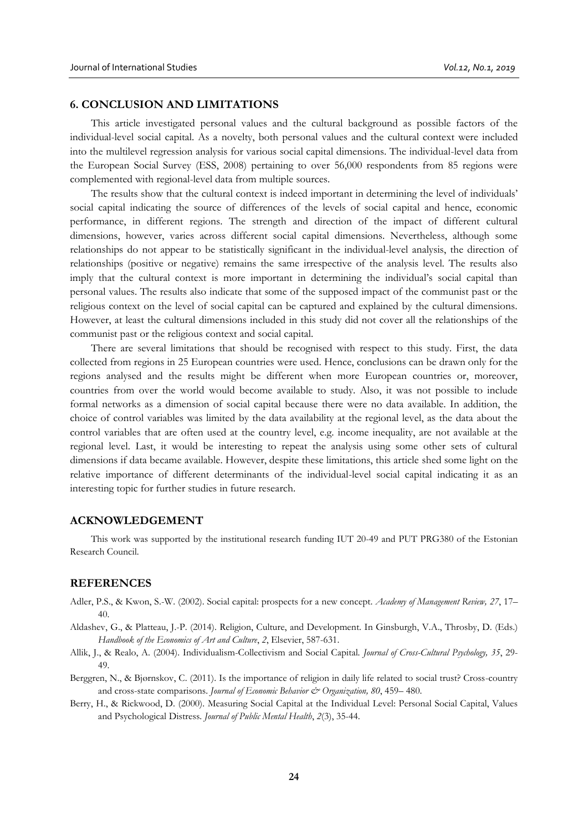### **6. CONCLUSION AND LIMITATIONS**

This article investigated personal values and the cultural background as possible factors of the individual-level social capital. As a novelty, both personal values and the cultural context were included into the multilevel regression analysis for various social capital dimensions. The individual-level data from the European Social Survey (ESS, 2008) pertaining to over 56,000 respondents from 85 regions were complemented with regional-level data from multiple sources.

The results show that the cultural context is indeed important in determining the level of individuals' social capital indicating the source of differences of the levels of social capital and hence, economic performance, in different regions. The strength and direction of the impact of different cultural dimensions, however, varies across different social capital dimensions. Nevertheless, although some relationships do not appear to be statistically significant in the individual-level analysis, the direction of relationships (positive or negative) remains the same irrespective of the analysis level. The results also imply that the cultural context is more important in determining the individual's social capital than personal values. The results also indicate that some of the supposed impact of the communist past or the religious context on the level of social capital can be captured and explained by the cultural dimensions. However, at least the cultural dimensions included in this study did not cover all the relationships of the communist past or the religious context and social capital.

There are several limitations that should be recognised with respect to this study. First, the data collected from regions in 25 European countries were used. Hence, conclusions can be drawn only for the regions analysed and the results might be different when more European countries or, moreover, countries from over the world would become available to study. Also, it was not possible to include formal networks as a dimension of social capital because there were no data available. In addition, the choice of control variables was limited by the data availability at the regional level, as the data about the control variables that are often used at the country level, e.g. income inequality, are not available at the regional level. Last, it would be interesting to repeat the analysis using some other sets of cultural dimensions if data became available. However, despite these limitations, this article shed some light on the relative importance of different determinants of the individual-level social capital indicating it as an interesting topic for further studies in future research.

#### **ACKNOWLEDGEMENT**

This work was supported by the institutional research funding IUT 20-49 and PUT PRG380 of the Estonian Research Council.

#### **REFERENCES**

- Adler, P.S., & Kwon, S.-W. (2002). Social capital: prospects for a new concept. *Academy of Management Review, 27*, 17– 40.
- Aldashev, G., & Platteau, J.-P. (2014). Religion, Culture, and Development. In Ginsburgh, V.A., Throsby, D. (Eds.) *Handbook of the Economics of Art and Culture*, *2*, Elsevier, 587-631.
- Allik, J., & Realo, A. (2004). Individualism-Collectivism and Social Capital. *Journal of Cross-Cultural Psychology, 35*, 29- 49.
- Berggren, N., & Bjørnskov, C. (2011). Is the importance of religion in daily life related to social trust? Cross-country and cross-state comparisons. *Journal of Economic Behavior & Organization, 80*, 459– 480.
- Berry, H., & Rickwood, D. (2000). Measuring Social Capital at the Individual Level: Personal Social Capital, Values and Psychological Distress. *Journal of Public Mental Health*, *2*(3), 35-44.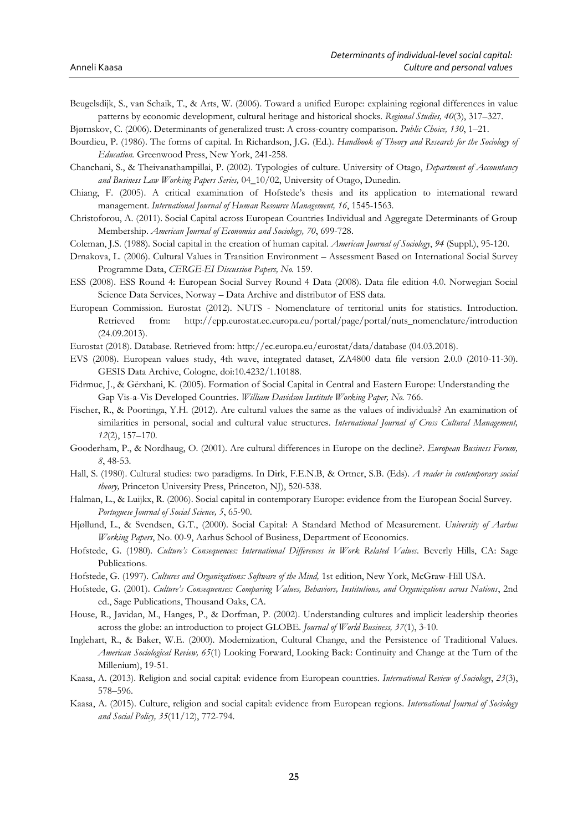Beugelsdijk, S., van Schaik, T., & Arts, W. (2006). Toward a unified Europe: explaining regional differences in value patterns by economic development, cultural heritage and historical shocks. *Regional Studies, 40*(3), 317–327.

Bjørnskov, C. (2006). Determinants of generalized trust: A cross-country comparison. *Public Choice, 130*, 1–21.

- Bourdieu, P. (1986). The forms of capital. In Richardson, J.G. (Ed.). *Handbook of Theory and Research for the Sociology of Education.* Greenwood Press, New York, 241-258.
- Chanchani, S., & Theivanathampillai, P. (2002). Typologies of culture. University of Otago, *Department of Accountancy and Business Law Working Papers Series,* 04\_10/02, University of Otago, Dunedin.
- Chiang, F. (2005). A critical examination of Hofstede's thesis and its application to international reward management. *International Journal of Human Resource Management, 16*, 1545-1563.
- Christoforou, A. (2011). Social Capital across European Countries Individual and Aggregate Determinants of Group Membership. *American Journal of Economics and Sociology, 70*, 699-728.
- Coleman, J.S. (1988). Social capital in the creation of human capital. *American Journal of Sociology*, *94* (Suppl.), 95-120.
- Drnakova, L. (2006). Cultural Values in Transition Environment Assessment Based on International Social Survey Programme Data, *CERGE-EI Discussion Papers, No.* 159.
- ESS (2008). ESS Round 4: European Social Survey Round 4 Data (2008). Data file edition 4.0. Norwegian Social Science Data Services, Norway – Data Archive and distributor of ESS data.
- European Commission. Eurostat (2012). NUTS Nomenclature of territorial units for statistics. Introduction. Retrieved from: http://epp.eurostat.ec.europa.eu/portal/page/portal/nuts\_nomenclature/introduction (24.09.2013).
- Eurostat (2018). Database. Retrieved from: http://ec.europa.eu/eurostat/data/database (04.03.2018).
- EVS (2008). European values study, 4th wave, integrated dataset, ZA4800 data file version 2.0.0 (2010-11-30). GESIS Data Archive, Cologne, doi:10.4232/1.10188.
- Fidrmuc, J., & Gërxhani, K. (2005). Formation of Social Capital in Central and Eastern Europe: Understanding the Gap Vis-a-Vis Developed Countries. *William Davidson Institute Working Paper, No.* 766.
- Fischer, R., & Poortinga, Y.H. (2012). Are cultural values the same as the values of individuals? An examination of similarities in personal, social and cultural value structures. *International Journal of Cross Cultural Management, 12*(2), 157–170.
- Gooderham, P., & Nordhaug, O. (2001). Are cultural differences in Europe on the decline?. *European Business Forum, 8*, 48-53.
- Hall, S. (1980). Cultural studies: two paradigms. In Dirk, F.E.N.B, & Ortner, S.B. (Eds). *A reader in contemporary social theory,* Princeton University Press, Princeton, NJ), 520-538.
- Halman, L., & Luijkx, R. (2006). Social capital in contemporary Europe: evidence from the European Social Survey. *Portuguese Journal of Social Science, 5*, 65-90.
- Hjøllund, L., & Svendsen, G.T., (2000). Social Capital: A Standard Method of Measurement. *University of Aarhus Working Papers*, No. 00-9, Aarhus School of Business, Department of Economics.
- Hofstede, G. (1980). *Culture's Consequences: International Differences in Work Related Values.* Beverly Hills, CA: Sage Publications.
- Hofstede, G. (1997). *Cultures and Organizations: Software of the Mind,* 1st edition, New York, McGraw-Hill USA.
- Hofstede, G. (2001). *Culture's Consequenses: Comparing Values, Behaviors, Institutions, and Organizations across Nations*, 2nd ed., Sage Publications, Thousand Oaks, CA.
- House, R., Javidan, M., Hanges, P., & Dorfman, P. (2002). Understanding cultures and implicit leadership theories across the globe: an introduction to project GLOBE. *Journal of World Business, 37*(1), 3-10.
- Inglehart, R., & Baker, W.E. (2000). Modernization, Cultural Change, and the Persistence of Traditional Values. *American Sociological Review, 65*(1) Looking Forward, Looking Back: Continuity and Change at the Turn of the Millenium), 19-51.
- Kaasa, A. (2013). Religion and social capital: evidence from European countries. *International Review of Sociology*, *23*(3), 578–596.
- Kaasa, A. (2015). Culture, religion and social capital: evidence from European regions. *International Journal of Sociology and Social Policy, 35*(11/12), 772-794.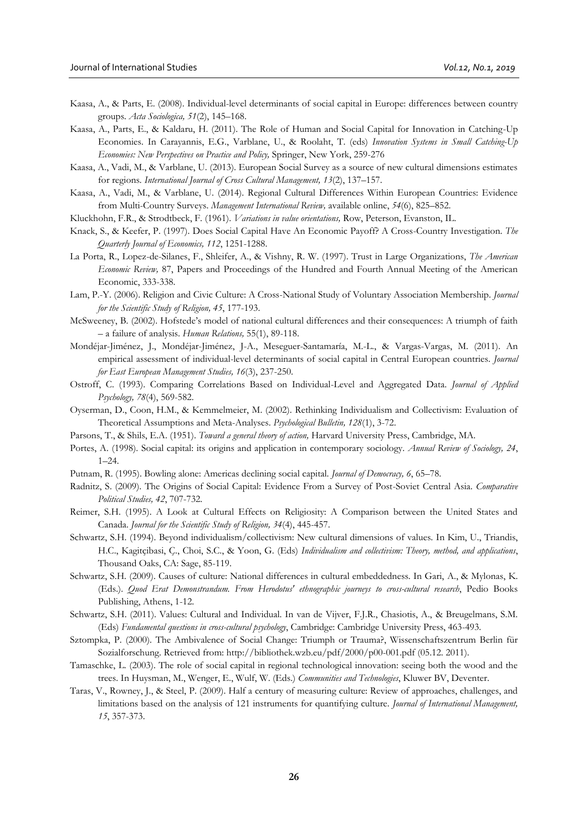- Kaasa, A., & Parts, E. (2008). Individual-level determinants of social capital in Europe: differences between country groups. *Acta Sociologica, 51*(2), 145–168.
- Kaasa, A., Parts, E., & Kaldaru, H. (2011). The Role of Human and Social Capital for Innovation in Catching-Up Economies. In Carayannis, E.G., Varblane, U., & Roolaht, T. (eds) *Innovation Systems in Small Catching-Up Economies: New Perspectives on Practice and Policy,* Springer, New York, 259-276
- Kaasa, A., Vadi, M., & Varblane, U. (2013). European Social Survey as a source of new cultural dimensions estimates for regions*. International Journal of Cross Cultural Management, 13*(2), 137–157.
- Kaasa, A., Vadi, M., & Varblane, U. (2014). Regional Cultural Differences Within European Countries: Evidence from Multi-Country Surveys. *Management International Review,* available online, *54*(6), 825–852.
- Kluckhohn, F.R., & Strodtbeck, F. (1961). *Variations in value orientations,* Row, Peterson, Evanston, IL.
- Knack, S., & Keefer, P. (1997). Does Social Capital Have An Economic Payoff? A Cross-Country Investigation. *The Quarterly Journal of Economics, 112*, 1251-1288.
- La Porta, R., Lopez-de-Silanes, F., Shleifer, A., & Vishny, R. W. (1997). Trust in Large Organizations, *The American Economic Review,* 87, Papers and Proceedings of the Hundred and Fourth Annual Meeting of the American Economic, 333-338.
- Lam, P.-Y. (2006). Religion and Civic Culture: A Cross-National Study of Voluntary Association Membership. *Journal for the Scientific Study of Religion, 45*, 177-193.
- McSweeney, B. (2002). Hofstede's model of national cultural differences and their consequences: A triumph of faith – a failure of analysis. *Human Relations,* 55(1), 89-118.
- Mondéjar-Jiménez, J., Mondéjar-Jiménez, J-A., Meseguer-Santamaría, M.-L., & Vargas-Vargas, M. (2011). An empirical assessment of individual-level determinants of social capital in Central European countries. *Journal for East European Management Studies, 16*(3), 237-250.
- Ostroff, C. (1993). Comparing Correlations Based on Individual-Level and Aggregated Data. *Journal of Applied Psychology, 78*(4), 569-582.
- Oyserman, D., Coon, H.M., & Kemmelmeier, M. (2002). Rethinking Individualism and Collectivism: Evaluation of Theoretical Assumptions and Meta-Analyses. *Psychological Bulletin, 128*(1), 3-72.
- Parsons, T., & Shils, E.A. (1951). *Toward a general theory of action,* Harvard University Press, Cambridge, MA.
- Portes, A. (1998). Social capital: its origins and application in contemporary sociology. *Annual Review of Sociology, 24*, 1–24.
- Putnam, R. (1995). Bowling alone: Americas declining social capital. *Journal of Democracy, 6*, 65–78.
- Radnitz, S. (2009). The Origins of Social Capital: Evidence From a Survey of Post-Soviet Central Asia. *Comparative Political Studies, 42*, 707-732.
- Reimer, S.H. (1995). A Look at Cultural Effects on Religiosity: A Comparison between the United States and Canada. *Journal for the Scientific Study of Religion, 34*(4), 445-457.
- Schwartz, S.H. (1994). Beyond individualism/collectivism: New cultural dimensions of values. In Kim, U., Triandis, H.C., Kagitçibasi, Ç., Choi, S.C., & Yoon, G. (Eds) *Individualism and collectivism: Theory, method, and applications*, Thousand Oaks, CA: Sage, 85-119.
- Schwartz, S.H. (2009). Causes of culture: National differences in cultural embeddedness. In Gari, A., & Mylonas, K. (Eds.). *Quod Erat Demonstrandum. From Herodotus' ethnographic journeys to cross-cultural research*, Pedio Books Publishing, Athens, 1-12.
- Schwartz, S.H. (2011). Values: Cultural and Individual. In van de Vijver, F.J.R., Chasiotis, A., & Breugelmans, S.M. (Eds) *Fundamental questions in cross-cultural psychology*, Cambridge: Cambridge University Press, 463-493.
- Sztompka, P. (2000). The Ambivalence of Social Change: Triumph or Trauma?, Wissenschaftszentrum Berlin für Sozialforschung. Retrieved from: http://bibliothek.wzb.eu/pdf/2000/p00-001.pdf (05.12. 2011).
- Tamaschke, L. (2003). The role of social capital in regional technological innovation: seeing both the wood and the trees. In Huysman, M., Wenger, E., Wulf, W. (Eds.) *Communities and Technologies*, Kluwer BV, Deventer.
- Taras, V., Rowney, J., & Steel, P. (2009). Half a century of measuring culture: Review of approaches, challenges, and limitations based on the analysis of 121 instruments for quantifying culture. *Journal of International Management, 15*, 357-373.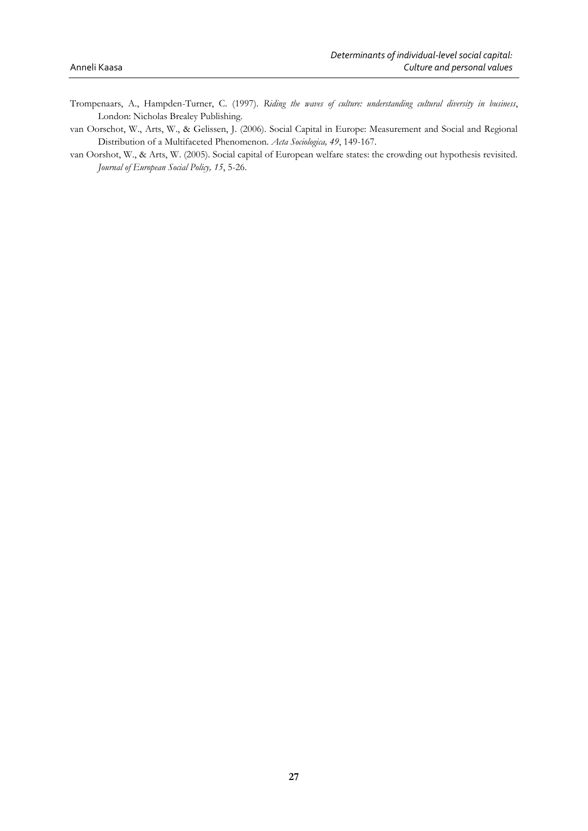- Trompenaars, A., Hampden-Turner, C. (1997). *Riding the waves of culture: understanding cultural diversity in business*, London: Nicholas Brealey Publishing.
- van Oorschot, W., Arts, W., & Gelissen, J. (2006). Social Capital in Europe: Measurement and Social and Regional Distribution of a Multifaceted Phenomenon. *Acta Sociologica, 49*, 149-167.
- van Oorshot, W., & Arts, W. (2005). Social capital of European welfare states: the crowding out hypothesis revisited. *Journal of European Social Policy, 15*, 5-26.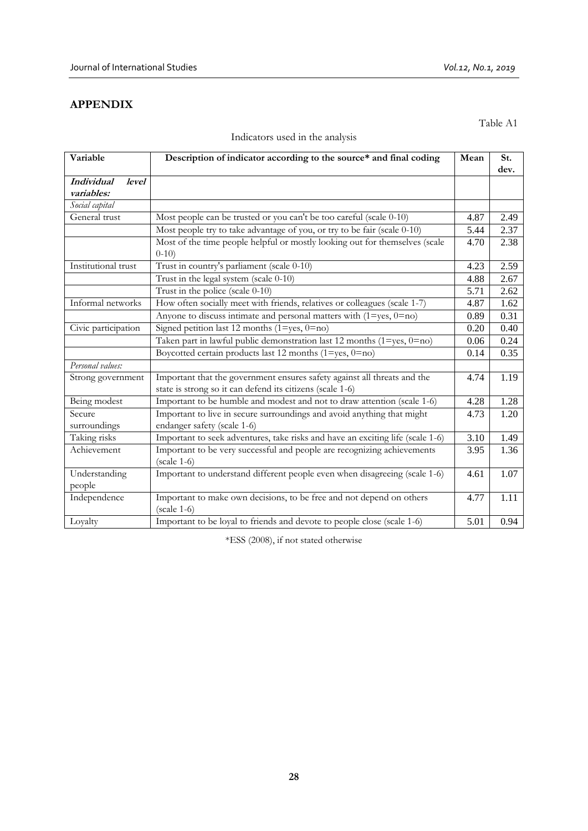## **APPENDIX**

Table A1

| Variable                                        | Description of indicator according to the source* and final coding                                                                    | Mean | St.<br>dev. |
|-------------------------------------------------|---------------------------------------------------------------------------------------------------------------------------------------|------|-------------|
| <b>Individual</b><br><i>level</i><br>variables: |                                                                                                                                       |      |             |
| Social capital                                  |                                                                                                                                       |      |             |
| General trust                                   | Most people can be trusted or you can't be too careful (scale 0-10)                                                                   | 4.87 | 2.49        |
|                                                 | Most people try to take advantage of you, or try to be fair (scale 0-10)                                                              | 5.44 | 2.37        |
|                                                 | Most of the time people helpful or mostly looking out for themselves (scale<br>$0-10$                                                 | 4.70 | 2.38        |
| Institutional trust                             | Trust in country's parliament (scale 0-10)                                                                                            | 4.23 | 2.59        |
|                                                 | Trust in the legal system (scale 0-10)                                                                                                | 4.88 | 2.67        |
|                                                 | Trust in the police (scale 0-10)                                                                                                      | 5.71 | 2.62        |
| Informal networks                               | How often socially meet with friends, relatives or colleagues (scale 1-7)                                                             | 4.87 | 1.62        |
|                                                 | Anyone to discuss intimate and personal matters with $(1 = yes, 0 = no)$                                                              | 0.89 | 0.31        |
| Civic participation                             | Signed petition last 12 months ( $1 = yes$ , $0 = no$ )                                                                               | 0.20 | 0.40        |
|                                                 | Taken part in lawful public demonstration last 12 months (1=yes, 0=no)                                                                | 0.06 | 0.24        |
|                                                 | Boycotted certain products last 12 months $(1 = yes, 0 = no)$                                                                         | 0.14 | 0.35        |
| Personal values:                                |                                                                                                                                       |      |             |
| Strong government                               | Important that the government ensures safety against all threats and the<br>state is strong so it can defend its citizens (scale 1-6) | 4.74 | 1.19        |
| Being modest                                    | Important to be humble and modest and not to draw attention (scale 1-6)                                                               | 4.28 | 1.28        |
| Secure<br>surroundings                          | Important to live in secure surroundings and avoid anything that might<br>endanger safety (scale 1-6)                                 | 4.73 | 1.20        |
| Taking risks                                    | Important to seek adventures, take risks and have an exciting life (scale 1-6)                                                        | 3.10 | 1.49        |
| Achievement                                     | Important to be very successful and people are recognizing achievements<br>$(scale 1-6)$                                              | 3.95 | 1.36        |
| Understanding<br>people                         | Important to understand different people even when disagreeing (scale 1-6)                                                            | 4.61 | 1.07        |
| Independence                                    | Important to make own decisions, to be free and not depend on others<br>$(scale 1-6)$                                                 | 4.77 | 1.11        |
| Loyalty                                         | Important to be loyal to friends and devote to people close (scale 1-6)                                                               | 5.01 | 0.94        |

## Indicators used in the analysis

\*ESS (2008), if not stated otherwise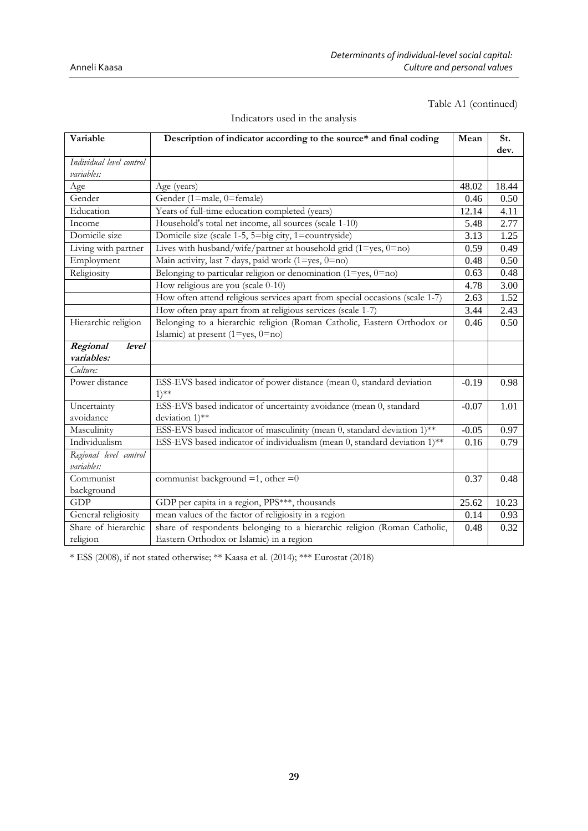### Table A1 (continued)

| Variable                               | Description of indicator according to the source* and final coding                   | Mean    | St.   |
|----------------------------------------|--------------------------------------------------------------------------------------|---------|-------|
|                                        |                                                                                      |         | dev.  |
| Individual level control<br>variables: |                                                                                      |         |       |
| Age                                    | Age (years)                                                                          | 48.02   | 18.44 |
| Gender                                 | Gender (1=male, 0=female)                                                            | 0.46    | 0.50  |
| Education                              | Years of full-time education completed (years)                                       | 12.14   | 4.11  |
| Income                                 | Household's total net income, all sources (scale 1-10)                               | 5.48    | 2.77  |
| Domicile size                          | Domicile size (scale 1-5, 5=big city, 1=countryside)                                 | 3.13    | 1.25  |
| Living with partner                    | Lives with husband/wife/partner at household grid $(1 = yes, 0 = no)$                | 0.59    | 0.49  |
| Employment                             | Main activity, last 7 days, paid work (1=yes, 0=no)                                  | 0.48    | 0.50  |
| Religiosity                            | Belonging to particular religion or denomination $(1 = yes, 0 = no)$                 | 0.63    | 0.48  |
|                                        | How religious are you (scale 0-10)                                                   | 4.78    | 3.00  |
|                                        | How often attend religious services apart from special occasions (scale 1-7)         | 2.63    | 1.52  |
|                                        | How often pray apart from at religious services (scale 1-7)                          | 3.44    | 2.43  |
| Hierarchic religion                    | Belonging to a hierarchic religion (Roman Catholic, Eastern Orthodox or              | 0.46    | 0.50  |
|                                        | Islamic) at present $(1 = yes, 0 = no)$                                              |         |       |
| Regional<br><i>level</i>               |                                                                                      |         |       |
| variables:                             |                                                                                      |         |       |
| Culture:                               |                                                                                      |         |       |
| Power distance                         | ESS-EVS based indicator of power distance (mean 0, standard deviation<br>$1)$ **     | $-0.19$ | 0.98  |
| Uncertainty<br>avoidance               | ESS-EVS based indicator of uncertainty avoidance (mean 0, standard<br>deviation 1)** | $-0.07$ | 1.01  |
| Masculinity                            | ESS-EVS based indicator of masculinity (mean 0, standard deviation 1)**              | $-0.05$ | 0.97  |
| Individualism                          | ESS-EVS based indicator of individualism (mean 0, standard deviation 1)**            | 0.16    | 0.79  |
| Regional level control                 |                                                                                      |         |       |
| variables:                             |                                                                                      |         |       |
| Communist                              | communist background $=1$ , other $=0$                                               | 0.37    | 0.48  |
| background                             |                                                                                      |         |       |
| GDP                                    | GDP per capita in a region, PPS***, thousands                                        | 25.62   | 10.23 |
| General religiosity                    | mean values of the factor of religiosity in a region                                 | 0.14    | 0.93  |
| Share of hierarchic                    | share of respondents belonging to a hierarchic religion (Roman Catholic,             | 0.48    | 0.32  |
| religion                               | Eastern Orthodox or Islamic) in a region                                             |         |       |

### Indicators used in the analysis

\* ESS (2008), if not stated otherwise; \*\* Kaasa et al. (2014); \*\*\* Eurostat (2018)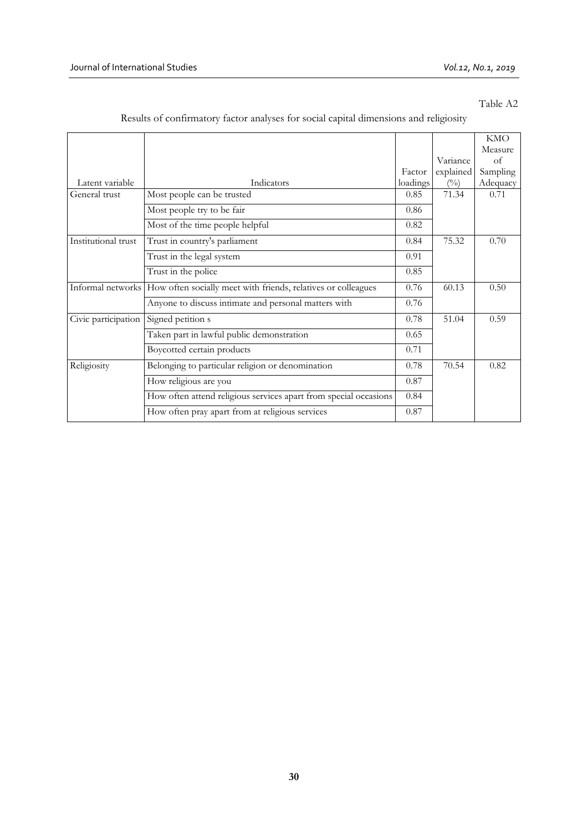## Table A2

|                     |                                                                                 |          |                | <b>KMO</b> |
|---------------------|---------------------------------------------------------------------------------|----------|----------------|------------|
|                     |                                                                                 |          |                | Measure    |
|                     |                                                                                 |          | Variance       | $\alpha$ f |
|                     |                                                                                 | Factor   | explained      | Sampling   |
| Latent variable     | Indicators                                                                      | loadings | $\binom{0}{0}$ | Adequacy   |
| General trust       | Most people can be trusted                                                      | 0.85     | 71.34          | 0.71       |
|                     | Most people try to be fair                                                      | 0.86     |                |            |
|                     | Most of the time people helpful                                                 | 0.82     |                |            |
| Institutional trust | Trust in country's parliament                                                   | 0.84     | 75.32          | 0.70       |
|                     | Trust in the legal system                                                       | 0.91     |                |            |
|                     | Trust in the police                                                             | 0.85     |                |            |
|                     | Informal networks How often socially meet with friends, relatives or colleagues | 0.76     | 60.13          | 0.50       |
|                     | Anyone to discuss intimate and personal matters with                            | 0.76     |                |            |
| Civic participation | Signed petition s                                                               | 0.78     | 51.04          | 0.59       |
|                     | Taken part in lawful public demonstration                                       | 0.65     |                |            |
|                     | Boycotted certain products                                                      | 0.71     |                |            |
| Religiosity         | Belonging to particular religion or denomination                                | 0.78     | 70.54          | 0.82       |
|                     | How religious are you                                                           | 0.87     |                |            |
|                     | How often attend religious services apart from special occasions                | 0.84     |                |            |
|                     | How often pray apart from at religious services                                 | 0.87     |                |            |

## Results of confirmatory factor analyses for social capital dimensions and religiosity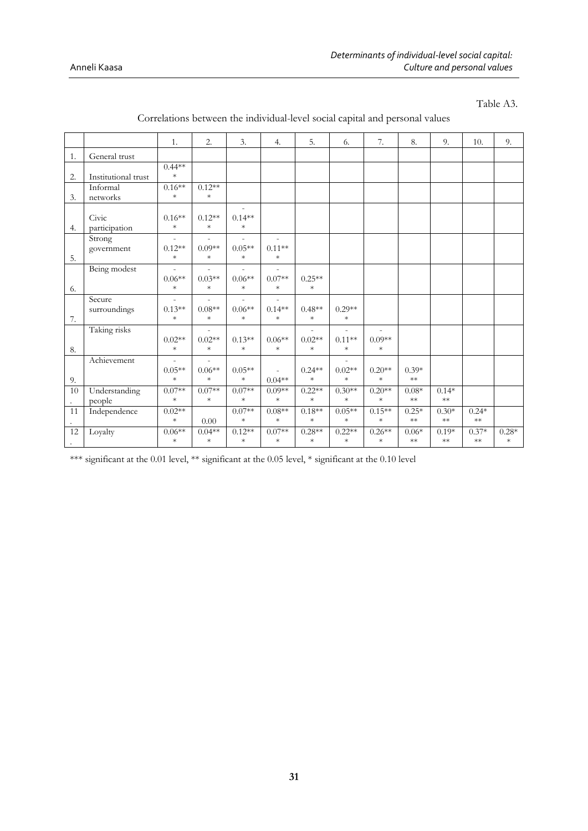Table A3.

|                |                     | 1.       | 2.       | 3.                       | 4.       | 5.       | 6.       | 7.             | 8.         | 9.         | 10.        | 9.      |
|----------------|---------------------|----------|----------|--------------------------|----------|----------|----------|----------------|------------|------------|------------|---------|
| 1.             | General trust       |          |          |                          |          |          |          |                |            |            |            |         |
|                |                     | $0.44**$ |          |                          |          |          |          |                |            |            |            |         |
| 2.             | Institutional trust | $\ast$   |          |                          |          |          |          |                |            |            |            |         |
|                | Informal            | $0.16**$ | $0.12**$ |                          |          |          |          |                |            |            |            |         |
| 3.             | networks            | $\ast$   | $\ast$   |                          |          |          |          |                |            |            |            |         |
|                |                     |          |          |                          |          |          |          |                |            |            |            |         |
|                | Civic               | $0.16**$ | $0.12**$ | $0.14**$                 |          |          |          |                |            |            |            |         |
| 4.             | participation       | $\ast$   | $\ast$   | $\ast$                   |          |          |          |                |            |            |            |         |
|                | Strong              |          |          |                          |          |          |          |                |            |            |            |         |
|                | government          | $0.12**$ | $0.09**$ | $0.05**$                 | $0.11**$ |          |          |                |            |            |            |         |
| 5.             |                     | $\ast$   | $\ast$   | $\ast$                   | $\ast$   |          |          |                |            |            |            |         |
|                | Being modest        |          |          |                          |          |          |          |                |            |            |            |         |
|                |                     | $0.06**$ | $0.03**$ | $0.06**$                 | $0.07**$ | $0.25**$ |          |                |            |            |            |         |
| 6.             |                     | $\ast$   | $\ast$   | $\ast$                   | $\ast$   | $\ast$   |          |                |            |            |            |         |
|                | Secure              |          |          | $\overline{\phantom{0}}$ |          |          |          |                |            |            |            |         |
|                | surroundings        | $0.13**$ | $0.08**$ | $0.06**$                 | $0.14**$ | $0.48**$ | $0.29**$ |                |            |            |            |         |
| 7.             |                     | $\ast$   | $\ast$   | $\ast$                   | $\ast$   | $\ast$   | $\ast$   |                |            |            |            |         |
|                | Taking risks        |          |          |                          |          |          |          | $\overline{a}$ |            |            |            |         |
|                |                     | $0.02**$ | $0.02**$ | $0.13**$                 | $0.06**$ | $0.02**$ | $0.11**$ | $0.09**$       |            |            |            |         |
| 8.             |                     | $\ast$   | $\ast$   | $\ast$                   | $\ast$   | $\ast$   | $\ast$   | $\ast$         |            |            |            |         |
|                | Achievement         |          |          |                          |          |          |          |                |            |            |            |         |
|                |                     | $0.05**$ | $0.06**$ | $0.05**$                 |          | $0.24**$ | $0.02**$ | $0.20**$       | $0.39*$    |            |            |         |
| 9.             |                     | $\ast$   | $\ast$   | $\ast$                   | $0.04**$ | $\ast$   | $\ast$   | $\ast$         | $\ast\ast$ |            |            |         |
| 10             | Understanding       | $0.07**$ | $0.07**$ | $0.07**$                 | $0.09**$ | $0.22**$ | $0.30**$ | $0.20**$       | $0.08*$    | $0.14*$    |            |         |
| $\mathbb{Z}^2$ | people              | $\ast$   | $\ast$   | $\ast$                   | $\ast$   | $\ast$   | $\ast$   | $\ast$         | $\ast\ast$ | $\ast\ast$ |            |         |
| 11             | Independence        | $0.02**$ |          | $0.07**$                 | $0.08**$ | $0.18**$ | $0.05**$ | $0.15**$       | $0.25*$    | $0.30*$    | $0.24*$    |         |
|                |                     | $\ast$   | 0.00     | $\ast$                   | $\ast$   | $\ast$   | $\ast$   | $\ast$         | $**$       | $**$       | $\ast\ast$ |         |
| 12             | Loyalty             | $0.06**$ | $0.04**$ | $0.12**$                 | $0.07**$ | $0.28**$ | $0.22**$ | $0.26**$       | $0.06*$    | $0.19*$    | $0.37*$    | $0.28*$ |
| $\sim$         |                     | $\ast$   | $\ast$   | $\ast$                   | $\ast$   | $\ast$   | $\ast$   | $\ast$         | $**$       | $**$       | $**$       | $\ast$  |

## Correlations between the individual-level social capital and personal values

\*\*\* significant at the 0.01 level, \*\* significant at the 0.05 level, \* significant at the 0.10 level